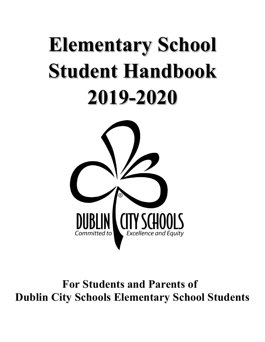# **Elementary School Student Handbook 2019-2020**



**For Students and Parents of Dublin City Schools Elementary School Students**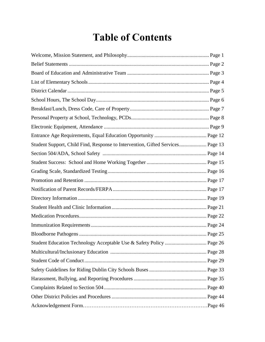# **Table of Contents**

| Student Support, Child Find, Response to Intervention, Gifted Services Page 13 |  |
|--------------------------------------------------------------------------------|--|
|                                                                                |  |
|                                                                                |  |
|                                                                                |  |
|                                                                                |  |
|                                                                                |  |
|                                                                                |  |
|                                                                                |  |
|                                                                                |  |
|                                                                                |  |
|                                                                                |  |
| Student Education Technology Acceptable Use & Safety Policy  Page 26           |  |
|                                                                                |  |
|                                                                                |  |
|                                                                                |  |
|                                                                                |  |
|                                                                                |  |
|                                                                                |  |
|                                                                                |  |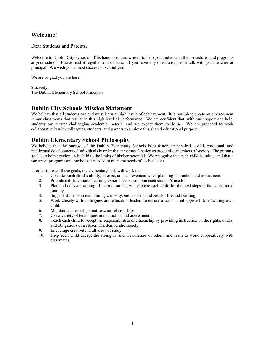# **Welcome!**

Dear Students and Parents**,** 

Welcome to Dublin City Schools! This handbook was written to help you understand the procedures and programs at your school. Please read it together and discuss. If you have any questions, please talk with your teacher or principal. We wish you a most successful school year.

We are so glad you are here!

Sincerely, The Dublin Elementary School Principals

## **Dublin City Schools Mission Statement**

We believe that all students can and must learn at high levels of achievement. It is our job to create an environment in our classrooms that results in this high level of performance. We are confident that, with our support and help, students can master challenging academic material and we expect them to do so. We are prepared to work collaboratively with colleagues, students, and parents to achieve this shared educational purpose.

# **Dublin Elementary School Philosophy**

We believe that the purpose of the Dublin Elementary Schools is to foster the physical, social, emotional, and intellectual development of individuals in order that they may function as productive members of society. The primary goal is to help develop each child to the limits of his/her potential. We recognize that each child is unique and that a variety of programs and methods is needed to meet the needs of each student.

In order to reach these goals, the elementary staff will work to:

- 1. Consider each child's ability, interest, and achievement when planning instruction and assessment.
- 2. Provide a differentiated learning experience based upon each student's needs.
- 3. Plan and deliver meaningful instruction that will prepare each child for the next steps in the educational journey.
- 4. Support students in maintaining curiosity, enthusiasm, and zest for life and learning.
- 5. Work closely with colleagues and education leaders to ensure a team-based approach to educating each child.
- 6. Maintain and enrich parent-teacher relationships.
- 7. Use a variety of techniques in instruction and assessment.
- 8. Teach each child to accept the responsibilities of citizenship by providing instruction on the rights, duties, and obligations of a citizen in a democratic society.
- 9. Encourage creativity in all areas of study.
- 10. Help each child accept the strengths and weaknesses of others and learn to work cooperatively with classmates.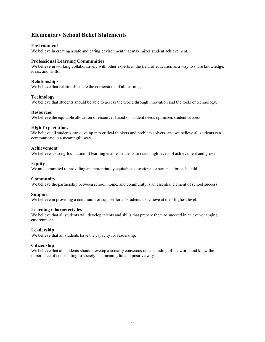# **Elementary School Belief Statements**

#### **Environment**

We believe in creating a safe and caring environment that maximizes student achievement.

#### **Professional Learning Communities**

We believe in working collaboratively with other experts in the field of education as a way to share knowledge, ideas, and skills.

#### **Relationships**

We believe that relationships are the cornerstone of all learning.

#### **Technology**

We believe that students should be able to access the world through innovation and the tools of technology.

#### **Resources**

We believe the equitable allocation of resources based on student needs optimizes student success.

#### **High Expectations**

We believe all students can develop into critical thinkers and problem solvers, and we believe all students can communicate in a meaningful way.

#### **Achievement**

We believe a strong foundation of learning enables students to reach high levels of achievement and growth.

#### **Equity**

We are committed to providing an appropriately equitable educational experience for each child.

#### **Community**

We believe the partnership between school, home, and community is an essential element of school success.

#### **Support**

We believe in providing a continuum of support for all students to achieve at their highest level.

#### **Learning Characteristics**

We believe that all students will develop talents and skills that prepare them to succeed in an ever-changing environment.

#### **Leadership**

We believe that all students have the capacity for leadership.

#### **Citizenship**

We believe that all students should develop a socially conscious understanding of the world and know the importance of contributing to society in a meaningful and positive way.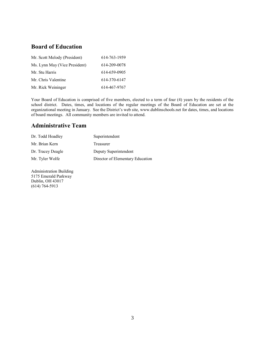# **Board of Education**

| Mr. Scott Melody (President)  | 614-763-1959 |
|-------------------------------|--------------|
| Ms. Lynn May (Vice President) | 614-209-0078 |
| Mr. Stu Harris                | 614-659-0905 |
| Mr. Chris Valentine           | 614-370-6147 |
| Mr. Rick Weininger            | 614-467-9767 |

Your Board of Education is comprised of five members, elected to a term of four (4) years by the residents of the school district. Dates, times, and locations of the regular meetings of the Board of Education are set at the organizational meeting in January. See the District's web site, www.dublinschools.net for dates, times, and locations of board meetings. All community members are invited to attend.

# **Administrative Team**

| Dr. Todd Hoadley  | Superintendent                   |
|-------------------|----------------------------------|
| Mr. Brian Kern    | Treasurer                        |
| Dr. Tracey Deagle | Deputy Superintendent            |
| Mr. Tyler Wolfe   | Director of Elementary Education |

Administration Building 5175 Emerald Parkway Dublin, OH 43017 (614) 764-5913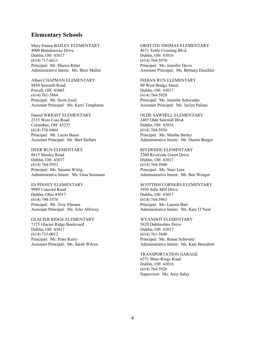#### **Elementary Schools**

Mary Emma BAILEY ELEMENTARY 4900 Brandonway Drive Dublin, OH 43017 (614) 717-6611 Principal: Mr. Shawn Ritter Administrative Intern: Ms. Blair Mallot

Albert CHAPMAN ELEMENTARY 8450 Sawmill Road Powell, OH 43065 (614) 761-5864 Principal: Mr. Scott Zeoli Assistant Principal: Ms. Kerri Templeton

Daniel WRIGHT ELEMENTARY 2335 West Case Road Columbus, OH 43235 (614) 538-0464 Principal: Mr. Lucas Bauer Assistant Principal: Mr. Burt Stellars

DEER RUN ELEMENTARY 8815 Manley Road Dublin, OH 43017 (614) 764-5932 Principal: Ms. Susann Wittig Administrative Intern: Ms. Gina Seemann

Eli PINNEY ELEMENTARY 9989 Concord Road Dublin, Ohio 43017 (614) 798-3570 Principal: Mr. Troy Ehrsam Assistant Principal: Ms. Julie Alloway

GLACIER RIDGE ELEMENTARY 7175 Glacier Ridge Boulevard Dublin, OH 43017 (614) 733-0012 Principal: Mr. Peter Kurty Assistant Principal: Ms. Sarah Wilcox GRIFFITH THOMAS ELEMENTARY 4671 Tuttle Crossing Blvd. Dublin, OH 43016 (614) 764-5970 Principal: Ms. Jennifer Davis Assistant Principal: Ms. Brittany Deschler

INDIAN RUN ELEMENTARY 80 West Bridge Street Dublin, OH 43017 (614) 764-5928 Principal: Ms. Jennifer Schwanke Assistant Principal: Ms. Jaclyn Palone

OLDE SAWMILL ELEMENTARY 2485 Olde Sawmill Blvd. Dublin, OH 43016 (614) 764-5936 Principal: Ms. Martha Barley Administrative Intern: Mr. Dustin Burger

RIVERSIDE ELEMENTARY 3260 Riverside Green Drive Dublin, OH 43017 (614) 764-5940 Principal: Ms. Staci Lutz Administrative Intern: Mr. Ben Wenger

SCOTTISH CORNERS ELEMENTARY 5950 Sells Mill Drive Dublin, OH 43017 (614) 764-5963 Principal: Ms. Lauren Barr Administrative Intern: Ms. Katy O'Neal

WYANDOT ELEMENTARY 5620 Dublinshire Drive Dublin, OH 43017 (614) 761-5840 Principal: Ms. Renae Schwartz Administrative Intern: Ms. Kate Brundrett

TRANSPORTATION GARAGE 6371 Shier-Rings Road Dublin, OH 43016 (614) 764-5926 Supervisor: Ms. Amy Salay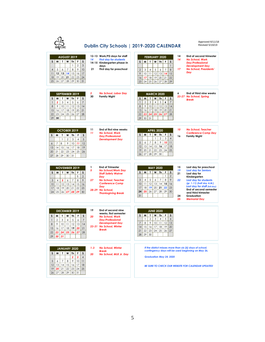| (ITY SCHOOL!                                                                                                                                                                                                                                                                                                                 |                      |                                                                                                                                                                                                          | Dublin City Schools   2019-2020 CALENDAR                                                                                                                                                                                                                                                                                                            | Approved 6/11/18<br>Revised 5/16/19                                                                                                                                                                                                                                        |
|------------------------------------------------------------------------------------------------------------------------------------------------------------------------------------------------------------------------------------------------------------------------------------------------------------------------------|----------------------|----------------------------------------------------------------------------------------------------------------------------------------------------------------------------------------------------------|-----------------------------------------------------------------------------------------------------------------------------------------------------------------------------------------------------------------------------------------------------------------------------------------------------------------------------------------------------|----------------------------------------------------------------------------------------------------------------------------------------------------------------------------------------------------------------------------------------------------------------------------|
| <b>AUGUST 2019</b><br>$\mathsf{s}$<br>M<br>$\mathbf{r}$<br>F<br>W<br>Th<br>S<br>$\mathfrak{S}$<br>$\mathbf{1}$<br>$\overline{2}$<br>9<br>10<br>8<br>5<br>7<br>$\overline{4}$<br>6<br>15<br>16<br>17<br>12<br>13<br>14<br>$\overline{11}$<br>19<br>20<br>21<br>22<br>23<br>18<br>24<br>29<br>25<br>26<br>27<br>28<br>30<br>31 | 14<br>21             | 12-13 Work/PD days for staff<br><b>First day for students</b><br>14-15 Kindergarten phase-in<br>davs<br>First day for preschool                                                                          | 14<br><b>FEBRUARY 2020</b><br>14<br>S<br>W<br>$Th$ $F$<br>M<br>T.<br>S<br>$\mathbf{1}$<br>17<br>8<br>$\overline{2}$<br>3<br>5<br>$\overline{7}$<br>4<br>6<br>9<br>12<br>13<br>14<br>15<br>10<br>11<br>19<br>21<br>18<br>20<br>22<br>16<br>17<br>23<br>25<br>26<br>24<br>27<br>28<br>29                                                              | End of second trimester<br><b>No School, Work</b><br><b>Day/Professional</b><br><b>Development Day</b><br><b>No School, Presidents'</b><br>Day                                                                                                                             |
| SEPTEMBER 2019<br>F<br>S<br>M<br>T<br>W<br>Th<br>S<br>3<br>$\overline{7}$<br>$\overline{2}$<br>5<br>4<br>6<br>$\mathbf{1}$<br>12<br>8<br>9<br>10 <sup>°</sup><br>11<br>13<br>14<br>21<br>17<br>18<br>19<br>20<br>15<br>16<br>24<br>25<br>26<br>27<br>28<br>22<br>23<br>29<br>30                                              | $\overline{2}$<br>30 | <b>No School, Labor Day</b><br><b>Family Night</b>                                                                                                                                                       | 6<br><b>MARCH 2020</b><br>T<br>$Th$ $F$<br>M  <br>W<br>S<br>S<br>$\overline{2}$<br>3<br>$\overline{4}$<br>5<br>$\overline{7}$<br>6<br>$\mathbf{1}$<br>9<br>10 <sup>°</sup><br>11<br>12<br>$\,8\,$<br>13<br>14<br>17<br>18<br>19<br>20<br>15<br>21<br>16<br>25<br>22<br>23<br>24<br>26<br>27<br>28<br>29<br>30<br>31                                 | End of third nine weeks<br>23-27 No School, Spring<br><b>Break</b>                                                                                                                                                                                                         |
| OCTOBER 2019<br>M<br>T.<br>W<br>S<br>S<br>Th<br>F<br>$\mathbf{1}$<br>3<br>$\overline{4}$<br>5<br>$\overline{2}$<br>8<br>9<br>10<br>11<br>12<br>7<br>6<br>15<br>17<br>19<br>13<br>14<br>16<br>18<br>22<br>23<br>24<br>25<br>26<br>20<br>21<br>27<br>28<br>29<br>30<br>31                                                      | 11<br>11             | End of first nine weeks<br><b>No School, Work</b><br>Day/Professional<br><b>Development Day</b>                                                                                                          | 10<br><b>APRIL 2020</b><br>T.<br>W<br>F<br>S<br>S<br>M<br>Th<br>16<br>$\mathbf{1}$<br>$\overline{2}$<br>3<br>$\overline{4}$<br>9<br>$\sqrt{5}$<br>7<br>8<br>10<br>11<br>6<br>15<br>17<br>18<br>12<br>13<br>14<br>16<br>25<br>19<br>20<br>21<br>22<br>23<br>24<br>27<br>28<br>29<br>26<br>30                                                         | <b>No School, Teacher</b><br><b>Conference Comp Day</b><br><b>Family Night</b>                                                                                                                                                                                             |
| <b>NOVEMBER 2019</b><br>M<br>T.<br>w<br>Th<br>F<br>S<br>s<br>$\mathbf{1}$<br>$\overline{2}$<br>8<br>9<br>3<br>$\overline{4}$<br>5<br>7<br>6<br>12<br>13<br> 4<br>15<br>16<br>10<br>11<br>19<br>21<br>22<br>23<br>17<br>18<br>20<br>29<br>30<br>24<br>25<br>26<br>27<br>28                                                    | 1<br>5<br>27         | <b>End of Trimester</b><br><b>No School/Work Day</b><br><b>Staff Safety Waiver</b><br>Day<br><b>No School, Teacher</b><br><b>Conference Comp</b><br>Day<br>28-29 No School,<br><b>Thanksgiving Break</b> | 15<br><b>MAY 2020</b><br>19<br>$\mathbf{r}$<br>$Th$ $F$<br>$\mathsf S$<br>S.<br>M  <br>W<br>21<br>$\mathbf{1}$<br>$\overline{2}$<br>9<br>5<br>$\overline{7}$<br>8<br>3<br>6<br>22<br>$\overline{4}$<br>16<br>10<br>11<br>12<br>13<br>14<br>15<br>19<br>20<br>21<br>22<br>23<br>17<br>18<br>24<br>27<br>28<br>29<br>30<br>25<br>26<br>31<br>24<br>25 | Last day for preschool<br><b>Last day for Seniors</b><br>Last day for<br>Kindergarten<br><b>Last day for students</b><br>(gr. 1-11) (half day A.M.)<br>Last day for staff (full day)<br>End of second semester<br>and third trimester<br>Graduation<br><b>Memorial Day</b> |
| <b>DECEMBER 2019</b><br>S<br>F<br>S<br>M<br>T<br>W<br>Th<br>$\overline{2}$<br>3<br>5<br>$\overline{7}$<br>$\mathbf{1}$<br>$\overline{4}$<br>6<br>10 <sup>°</sup><br>12<br>13<br>14<br>9<br>11<br>8<br>17<br>18<br>19<br>20<br>21<br>15<br>16<br>28<br>22<br>$23$ 24 25 26 27<br>29<br>30<br>31                               | 19<br>20             | End of second nine<br>weeks, first semester<br><b>No School, Work</b><br>Day/Professional<br><b>Development Day</b><br>23-31 No School, Winter<br><b>Break</b>                                           | <b>JUNE 2020</b><br>M<br>T<br>W<br><b>Th</b><br>F<br>S<br>S<br>$\overline{2}$<br>5<br>3<br>$\mathbf{1}$<br>$\overline{4}$<br>6<br>$\overline{7}$<br>9<br>10<br>11<br>12<br>13<br>8<br>17<br>20<br>15<br>16<br>18<br>19<br>14<br>22<br>21<br>23<br>24<br>25<br>26<br>27<br>28<br>$29$ 30                                                             |                                                                                                                                                                                                                                                                            |
| JANUARY 2020<br>s<br>M <sub>1</sub><br>T.<br>W<br>  Th<br>S<br>.F<br>$\overline{2}$<br>$\overline{4}$<br>3<br>9<br>10<br>5<br>7<br>8<br>11<br>6<br>12<br>13 14<br>15<br>16<br>17<br>18<br>19<br>21<br>22<br>23<br>24<br>25<br>20<br>29<br>30<br>31<br>26<br>28<br>27                                                         | $1 - 3$<br>20        | <b>No School, Winter</b><br><b>Break</b><br>No School, MLK Jr. Day                                                                                                                                       | If the district misses more than six (6) days of school,<br>contingency days will be used beginning on May 26.<br><b>Graduation May 24, 2020</b><br>BE SURE TO CHECK OUR WEBSITE FOR CALENDAR UPDATES!                                                                                                                                              |                                                                                                                                                                                                                                                                            |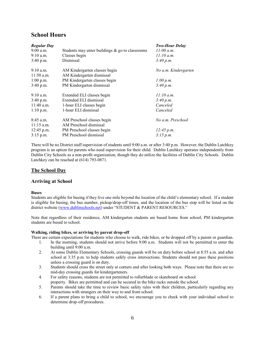# **School Hours**

| <b>Regular Day</b> |                                                    | <b>Two-Hour Delay</b> |
|--------------------|----------------------------------------------------|-----------------------|
| $9:00$ a.m.        | Students may enter buildings $\&$ go to classrooms | 11:00 a.m.            |
| $9:10$ a.m.        | Classes begin                                      | 11:10 a.m.            |
| $3:40$ p.m.        | Dismissal                                          | 3:40 p.m.             |
| $9:10$ a.m.        | AM Kindergarten classes begin                      | No a.m. Kindergarten  |
| $11:50$ a.m.       | AM Kindergarten dismissal                          |                       |
| $1:00$ p.m.        | PM Kindergarten classes begin                      | 1:00 p.m.             |
| $3:40$ p.m.        | PM Kindergarten dismissal                          | 3:40 p.m.             |
| $9:10$ a.m.        | Extended ELI classes begin                         | 11:10 a.m.            |
| $3:40$ p.m.        | Extended ELI dismissal                             | 3.40 p.m.             |
| $11:40$ a.m.       | 1-hour ELI classes begin                           | Canceled              |
| $1:10$ p.m.        | 1-hour ELI dismissal                               | Canceled              |
| $8:45$ a.m.        | AM Preschool classes begin                         | No a.m. Preschool     |
| $11:15$ a.m.       | AM Preschool dismissal                             |                       |
| $12:45$ p.m.       | PM Preschool classes begin                         | 12:45 p.m.            |
| $3:15$ p.m.        | PM Preschool dismissal                             | 3:15 p.m.             |

There will be no District staff supervision of students until 9:00 a.m. or after 3:40 p.m. However, the Dublin Latchkey program is an option for parents who need supervision for their child. Dublin Latchkey operates independently from Dublin City Schools as a non-profit organization, though they do utilize the facilities of Dublin City Schools. Dublin Latchkey can be reached at (614) 793-0871.

#### **The School Day**

#### **Arriving at School**

#### **Buses**

Students are eligible for busing if they live one mile beyond the location of the child's elementary school. If a student is eligible for busing, the bus number, pickup/drop-off times, and the location of the bus stop will be listed on the district website [\(www.dublinschools.net](http://www.dublinschools.net/)) under "STUDENT & PARENT RESOURCES."

Note that regardless of their residence, AM kindergarten students are bused home from school; PM kindergarten students are bused to school.

#### **Walking, riding bikes, or arriving by parent drop-off**

There are certain expectations for students who choose to walk, ride bikes, or be dropped off by a parent or guardian.

- 1. In the morning, students should not arrive before 9:00 a.m. Students will not be permitted to enter the building until 9:00 a.m.
- 2. At some Dublin Elementary Schools, crossing guards will be on duty before school at 8:55 a.m. and after school at 3:35 p.m. to help students safely cross intersections. Students should not pass these positions unless a crossing guard is on duty.
- 3. Students should cross the street only at corners and after looking both ways. Please note that there are no mid-day crossing guards for kindergarteners.
- 4. For safety reasons, students are not permitted to rollerblade or skateboard on school property. Bikes are permitted and can be secured in the bike racks outside the school.
- 5. Parents should take the time to review basic safety rules with their children, particularly regarding any interactions with strangers on their way to and from school.
- 6. If a parent plans to bring a child to school, we encourage you to check with your individual school to determine drop-off procedures.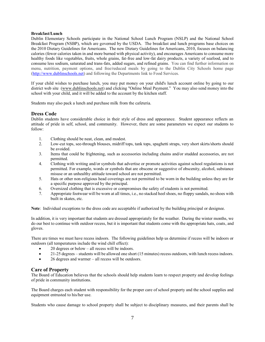#### **Breakfast/Lunch**

Dublin Elementary Schools participate in the National School Lunch Program (NSLP) and the National School Breakfast Program (NSBP), which are governed by the USDA. The breakfast and lunch programs base choices on the 2010 Dietary Guidelines for Americans. The new Dietary Guidelines for Americans, 2010, focuses on balancing calories (fewer calories taken in and more burned with physical activity), and encourages Americans to consume more healthy foods like vegetables, fruits, whole grains, fat-free and low-fat dairy products, a variety of seafood, and to consume less sodium, saturated and trans-fats, added sugars, and refined grains. You can find further information on menu, nutrition, payment options, and free/reduced meals by going to the Dublin City Schools home page [\(http://www.dublinschools.net\)](http://www.dublinschools.net/) and following the Departments link to Food Services.

If your child wishes to purchase lunch, you may put money on your child's lunch account online by going to our district web site [\(www.dublinschools.net](http://www.dublinschools.net/)) and clicking "Online Meal Payment." You may also send money into the school with your child, and it will be added to the account by the kitchen staff.

Students may also pack a lunch and purchase milk from the cafeteria.

#### **Dress Code**

Dublin students have considerable choice in their style of dress and appearance. Student appearance reflects an attitude of pride in self, school, and community. However, there are some parameters we expect our students to follow:

- 1. Clothing should be neat, clean, and modest.
- 2. Low-cut tops, see-through blouses, midriff tops, tank tops, spaghetti straps, very short skirts/shorts should be avoided.
- 3. Items that could be frightening, such as accessories including chains and/or studded accessories, are not permitted.
- 4. Clothing with writing and/or symbols that advertise or promote activities against school regulations is not permitted. For example, words or symbols that are obscene or suggestive of obscenity, alcohol, substance misuse or an unhealthy attitude toward school are not permitted.
- 5. Hats or other non-religious head coverings are not permitted to be worn in the building unless they are for a specific purpose approved by the principal.
- 6. Oversized clothing that is excessive or compromises the safety of students is not permitted.
- 7. Appropriate footwear will be worn at all times, i.e., no stacked heel shoes, no floppy sandals, no shoes with built in skates, etc.

**Note**: Individual exceptions to the dress code are acceptable if authorized by the building principal or designee.

In addition, it is very important that students are dressed appropriately for the weather. During the winter months, we do our best to continue with outdoor recess, but it is important that students come with the appropriate hats, coats, and gloves.

There are times we must have recess indoors. The following guidelines help us determine if recess will be indoors or outdoors (all temperatures include the wind chill effect):

- 20 degrees or below all recess will be indoors.
- 21-25 degrees students will be allowed one short (15 minutes) recess outdoors, with lunch recess indoors.
- 26 degrees and warmer all recess will be outdoors.

#### **Care of Property**

The Board of Education believes that the schools should help students learn to respect property and develop feelings of pride in community institutions.

The Board charges each student with responsibility for the proper care of school property and the school supplies and equipment entrusted to his/her use.

Students who cause damage to school property shall be subject to disciplinary measures, and their parents shall be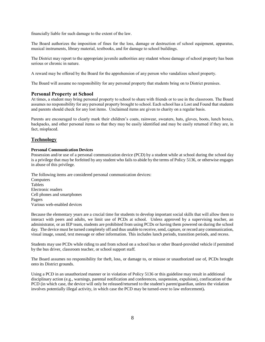financially liable for such damage to the extent of the law.

The Board authorizes the imposition of fines for the loss, damage or destruction of school equipment, apparatus, musical instruments, library material, textbooks, and for damage to school buildings.

The District may report to the appropriate juvenile authorities any student whose damage of school property has been serious or chronic in nature.

A reward may be offered by the Board for the apprehension of any person who vandalizes school property.

The Board will assume no responsibility for any personal property that students bring on to District premises.

#### **Personal Property at School**

At times, a student may bring personal property to school to share with friends or to use in the classroom. The Board assumes no responsibility for any personal property brought to school. Each school has a Lost and Found that students and parents should check for any lost items. Unclaimed items are given to charity on a regular basis.

Parents are encouraged to clearly mark their children's coats, rainwear, sweaters, hats, gloves, boots, lunch boxes, backpacks, and other personal items so that they may be easily identified and may be easily returned if they are, in fact, misplaced.

#### **Technology**

#### **Personal Communication Devices**

Possession and/or use of a personal communication device (PCD) by a student while at school during the school day is a privilege that may be forfeited by any student who fails to abide by the terms of Policy [5136,](http://www.neola.com/dublin-oh/search/policies/po5136.htm) or otherwise engages in abuse of this privilege.

The following items are considered personal communication devices: **Computers** Tablets Electronic readers Cell phones and smartphones Pagers Various web-enabled devices

Because the elementary years are a crucial time for students to develop important social skills that will allow them to interact with peers and adults, we limit use of PCDs at school. Unless approved by a supervising teacher, an administrator, or an IEP team, students are prohibited from using PCDs or having them powered on during the school day. The device must be turned completely off and thus unable to receive, send, capture, or record any communication, visual image, sound, text message or other information. This includes lunch periods, transition periods, and recess.

Students may use PCDs while riding to and from school on a school bus or other Board-provided vehicle if permitted by the bus driver, classroom teacher, or school support staff.

The Board assumes no responsibility for theft, loss, or damage to, or misuse or unauthorized use of, PCDs brought onto its District grounds.

Using a PCD in an unauthorized manner or in violation of Policy [5136](http://www.neola.com/dublin-oh/search/policies/po5136.htm) or this guideline may result in additional disciplinary action (e.g., warnings, parental notification and conferences, suspension, expulsion), confiscation of the PCD (in which case, the device will only be released/returned to the student's parent/guardian, unless the violation involves potentially illegal activity, in which case the PCD may be turned-over to law enforcement)**.**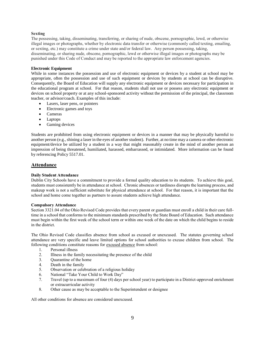#### **Sexting**

The possessing, taking, disseminating, transferring, or sharing of nude, obscene, pornographic, lewd, or otherwise illegal images or photographs, whether by electronic data transfer or otherwise (commonly called texting, emailing, or sexting, etc.) may constitute a crime under state and/or federal law. Any person possessing, taking, disseminating, or sharing nude, obscene, pornographic, lewd or otherwise illegal images or photographs may be punished under this Code of Conduct and may be reported to the appropriate law enforcement agencies.

#### **Electronic Equipment**

While in some instances the possession and use of electronic equipment or devices by a student at school may be appropriate, often the possession and use of such equipment or devices by students at school can be disruptive. Consequently, the Board of Education will supply any electronic equipment or devices necessary for participation in the educational program at school. For that reason, students shall not use or possess any electronic equipment or devices on school property or at any school-sponsored activity without the permission of the principal, the classroom teacher, or advisor/coach. Examples of this include:

- Lasers, laser pens, or pointers
- Electronic games and toys
- Cameras
- Laptops
- Gaming devices

Students are prohibited from using electronic equipment or devices in a manner that may be physically harmful to another person (e.g., shining a laser in the eyes of another student). Further, at no time may a camera or other electronic equipment/device be utilized by a student in a way that might reasonably create in the mind of another person an impression of being threatened, humiliated, harassed, embarrassed, or intimidated. More information can be found by referencing Policy 5517.01.

#### **Attendance**

#### **Daily Student Attendance**

Dublin City Schools have a commitment to provide a formal quality education to its students. To achieve this goal, students must consistently be in attendance at school. Chronic absences or tardiness disrupts the learning process, and makeup work is not a sufficient substitute for physical attendance at school. For that reason, it is important that the school and home come together as partners to assure students achieve high attendance.

#### **Compulsory Attendance**

Section 3321.04 of the Ohio Revised Code provides that every parent or guardian must enroll a child in their care fulltime in a school that conforms to the minimum standards prescribed by the State Board of Education. Such attendance must begin within the first week of the school term or within one week of the date on which the child begins to reside in the district.

The Ohio Revised Code classifies absence from school as excused or unexcused. The statutes governing school attendance are very specific and leave limited options for school authorities to excuse children from school. The following conditions constitute reasons for excused absence from school:

- 1. Personal illness
- 2. Illness in the family necessitating the presence of the child
- 3. Quarantine of the home
- 4. Death in the family
- 5. Observation or celebration of a religious holiday
- 6. National "Take Your Child to Work Day"
- 7. Travel (up to a maximum of four (4) days per school year) to participate in a District-approved enrichment or extracurricular activity
- 8. Other cause as may be acceptable to the Superintendent or designee

All other conditions for absence are considered unexcused.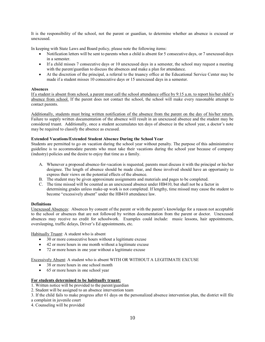It is the responsibility of the school, not the parent or guardian, to determine whether an absence is excused or unexcused.

In keeping with State Laws and Board policy, please note the following items:

- Notification letters will be sent to parents when a child is absent for 5 consecutive days, or 7 unexcused days in a semester.
- If a child misses 7 consecutive days or 10 unexcused days in a semester, the school may request a meeting with the parent/guardian to discuss the absences and make a plan for attendance.
- At the discretion of the principal, a referral to the truancy office at the Educational Service Center may be made if a student misses 10 consecutive days or 15 unexcused days in a semester.

#### **Absences**

If a student is absent from school, a parent must call the school attendance office by 9:15 a.m. to report his/her child's absence from school. If the parent does not contact the school, the school will make every reasonable attempt to contact parents.

Additionally, students must bring written notification of the absence from the parent on the day of his/her return. Failure to supply written documentation of the absence will result in an unexcused absence and the student may be considered truant. Additionally, once a student accumulates ten days of absence in the school year, a doctor's note may be required to classify the absence as excused.

#### **Extended Vacations/Extended Student Absence During the School Year**

Students are permitted to go on vacation during the school year without penalty. The purpose of this administrative guideline is to accommodate parents who must take their vacations during the school year because of company (industry) policies and the desire to enjoy that time as a family.

- A. Whenever a proposed absence-for-vacation is requested, parents must discuss it with the principal or his/her designee. The length of absence should be made clear, and those involved should have an opportunity to express their views on the potential effects of the absence.
- B. The student may be given approximate assignments and materials and pages to be completed.
- C. The time missed will be counted as an unexcused absence under HB410, but shall not be a factor in determining grades unless make-up work is not completed. If lengthy, time missed may cause the student to become "excessively absent" under the HB410 attendance law.

#### **Definitions**

Unexcused Absences: Absences by consent of the parent or with the parent's knowledge for a reason not acceptable to the school or absences that are not followed by written documentation from the parent or doctor. Unexcused absences may receive no credit for schoolwork. Examples could include: music lessons, hair appointments, oversleeping, traffic delays, Driver's Ed appointments, etc.

Habitually Truant: A student who is absent

- 30 or more consecutive hours without a legitimate excuse
- 42 or more hours in one month without a legitimate excuse
- 72 or more hours in one year without a legitimate excuse

#### Excessively Absent: A student who is absent WITH OR WITHOUT A LEGITIMATE EXCUSE

- 38 or more hours in one school month
- 65 or more hours in one school year

#### **For students determined to be habitually truant:**

- 1. Written notice will be provided to the parent/guardian
- 2. Student will be assigned to an absence intervention team

3. If the child fails to make progress after 61 days on the personalized absence intervention plan, the district will file

- a complaint in juvenile court
- 4. Counseling will be provided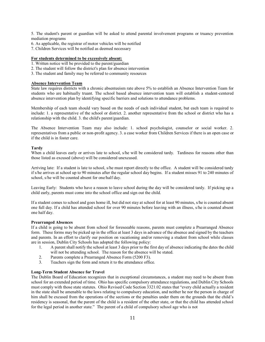5. The student's parent or guardian will be asked to attend parental involvement programs or truancy prevention mediation programs

- 6. As applicable, the registrar of motor vehicles will be notified
- 7. Children Services will be notified as deemed necessary

#### **For students determined to be excessively absent:**

- 1. Written notice will be provided to the parent/guardian
- 2. The student will follow the district's plan for absence intervention
- 3. The student and family may be referred to community resources

#### **Absence Intervention Team**

State law requires districts with a chronic absenteeism rate above 5% to establish an Absence Intervention Team for students who are habitually truant. The school based absence intervention team will establish a student-centered absence intervention plan by identifying specific barriers and solutions to attendance problems.

Membership of each team should vary based on the needs of each individual student, but each team is required to include: 1. a representative of the school or district. 2. another representative from the school or district who has a relationship with the child. 3. the child's parent/guardian.

The Absence Intervention Team may also include: 1. school psychologist, counselor or social worker. 2. representatives from a public or non-profit agency. 3. a case worker from Children Services if there is an open case or if the child is in foster care.

#### **Tardy**

When a child leaves early or arrives late to school, s/he will be considered tardy. Tardiness for reasons other than those listed as excused (above) will be considered unexcused.

Arriving late: If a student is late to school, s/he must report directly to the office. A student will be considered tardy if s/he arrives at school up to 90 minutes after the regular school day begins. If a student misses 91 to 240 minutes of school, s/he will be counted absent for one/half day.

Leaving Early: Students who have a reason to leave school during the day will be considered tardy. If picking up a child early, parents must come into the school office and sign out the child.

If a student comes to school and goes home ill, but did not stay at school for at least 90 minutes, s/he is counted absent one full day. If a child has attended school for over 90 minutes before leaving with an illness, s/he is counted absent one half day.

#### **Prearranged Absences**

If a child is going to be absent from school for foreseeable reasons, parents must complete a Prearranged Absence form. These forms may be picked up in the office at least 3 days in advance of the absence and signed by the teachers and parents. In an effort to clarify our position on vacationing and/or removing a student from school while classes are in session, Dublin City Schools has adopted the following policy:

- 1. A parent shall notify the school at least 3 days prior to the first day of absence indicating the dates the child will not be attending school. The reason for the absence will be stated.
- 2. Parents complete a Prearranged Absence Form (5200 F3).
- 3. Teachers sign the form and return it to the attendance office.

#### **Long-Term Student Absence for Travel**

The Dublin Board of Education recognizes that in exceptional circumstances, a student may need to be absent from school for an extended period of time. Ohio has specific compulsory attendance regulations, and Dublin City Schools must comply with those state statutes. Ohio Revised Code Section 3321.02 states that "every child actually a resident in the state shall be amenable to the laws relating to compulsory education, and neither he nor the person in charge of him shall be excused from the operations of the sections or the penalties under them on the grounds that the child's residency is seasonal, that the parent of the child is a resident of the other state, or that the child has attended school for the legal period in another state." The parent of a child of compulsory school age who is not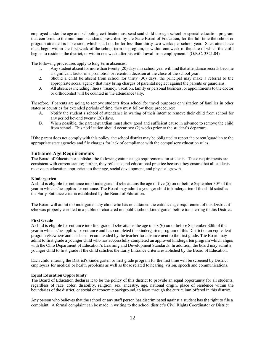employed under the age and schooling certificate must send said child through school or special education program that conforms to the minimum standards prescribed by the State Board of Education, for the full time the school or program attended is in session, which shall not be for less than thirty-two weeks per school year. Such attendance must begin within the first week of the school term or program, or within one week of the date of which the child begins to reside in the district, or within one week after his withdrawal from employment." (O.R.C. 3321.04)

The following procedures apply to long-term absences:

- 1. Any student absent for more than twenty (20) days in a school year will find that attendance records become a significant factor in a promotion or retention decision at the close of the school year.
- 2. Should a child be absent from school for thirty (30) days, the principal may make a referral to the appropriate social agency that may bring charges of parental neglect against the parents or guardians.
- 3. All absences including illness, truancy, vacation, family or personal business, or appointments to the doctor or orthodontist will be counted in the attendance tally.

Therefore, if parents are going to remove students from school for travel purposes or visitation of families in other states or countries for extended periods of time, they must follow these procedures:

- A. Notify the student's school of attendance in writing of their intent to remove their child from school for any period beyond twenty (20) days.
- B. When possible, the parent/guardian must show good and sufficient cause in advance to remove the child from school. This notification should occur two (2) weeks prior to the student's departure.

If the parent does not comply with this policy, the school district may be obligated to report the parent/guardian to the appropriate state agencies and file charges for lack of compliance with the compulsory education rules.

#### **Entrance Age Requirements**

The Board of Education establishes the following entrance age requirements for students. These requirements are consistent with current statute; further, they reflect sound educational practice because they ensure that all students receive an education appropriate to their age, social development, and physical growth.

#### **Kindergarten**

A child is eligible for entrance into kindergarten if s/he attains the age of five (5) on or before September  $30<sup>th</sup>$  of the year in which s/he applies for entrance. The Board may admit a younger child to kindergarten if the child satisfies the Early-Entrance criteria established by the Board of Education.

The Board will admit to kindergarten any child who has not attained the entrance age requirement of this District if s/he was properly enrolled in a public or chartered nonpublic school kindergarten before transferring to this District.

#### **First Grade**

A child is eligible for entrance into first grade if s/he attains the age of six (6) on or before September 30th of the year in which s/he applies for entrance and has completed the kindergarten program of this District or an equivalent program elsewhere and has been recommended by the teacher for advancement to the first grade. The Board may admit to first grade a younger child who has successfully completed an approved kindergarten program which aligns with the Ohio Department of Education's Learning and Development Standards. In addition, the board may admit a younger child to first grade if the child satisfies the Early Entrance criteria established by the Board of Education.

Each child entering the District's kindergarten or first grade program for the first time will be screened by District employees for medical or health problems as well as those related to hearing, vision, speech and communications.

#### **Equal Education Opportunity**

The Board of Education declares it to be the policy of this district to provide an equal opportunity for all students, regardless of race, color, disability, religion, sex, ancestry, age, national origin, place of residence within the boundaries of the district, or social or economic background, to learn through the curriculum offered in this district.

Any person who believes that the school or any staff person has discriminated against a student has the right to file a complaint. A formal complaint can be made in writing to the school district's Civil Rights Coordinator or District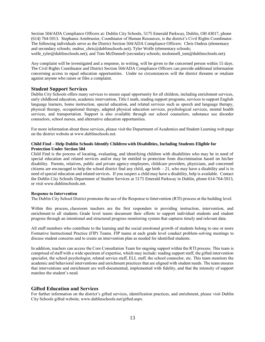Section 504/ADA Compliance Officers at: Dublin City Schools, 5175 Emerald Parkway, Dublin, OH 43017, phone (614) 764-5913. Stephanie Armbruster, Coordinator of Human Resources, is the district's Civil Rights Coordinator. The following individuals serve as the District Section 504/ADA Compliance Officers: Chris Ondrus (elementary and secondary schools; ondrus chris@dublinschools.net); Tyler Wolfe (elementary schools; wolfe\_tyler@dublinschools.net); and Tom McDonnell (secondary schools; mcdonnell\_tom@dublinschools.net).

Any complaint will be investigated and a response, in writing, will be given to the concerned person within 15 days. The Civil Rights Coordinator and District Section 504/ADA Compliance Officers can provide additional information concerning access to equal education opportunities. Under no circumstances will the district threaten or retaliate against anyone who raises or files a complaint.

#### **Student Support Services**

Dublin City Schools offers many services to ensure equal opportunity for all children, including enrichment services, early childhood education, academic intervention, Title I math, reading support programs, services to support English language learners, home instruction, special education, and related services such as speech and language therapy, physical therapy, occupational therapy, adapted physical education services, psychological services, mental health services, and transportation. Support is also available through our school counselors, substance use disorder counselors, school nurses, and alternative education opportunities.

For more information about these services, please visit the Department of Academics and Student Learning web page on the district website at www.dublinschools.net.

#### **Child Find – Help Dublin Schools Identify Children with Disabilities, Including Students Eligible for Protection Under Section 504**

Child Find is the process of locating, evaluating, and identifying children with disabilities who may be in need of special education and related services and/or may be entitled to protection from discrimination based on his/her disability. Parents, relatives, public and private agency employees, childcare providers, physicians, and concerned citizens are encouraged to help the school district find any child, age birth  $-21$ , who may have a disability and is in need of special education and related services. If you suspect a child may have a disability, help is available. Contact the Dublin City Schools Department of Student Services at 5175 Emerald Parkway in Dublin, phone 614-764-5913, or visit www.dublinschools.net.

#### **Response to Intervention**

The Dublin City School District promotes the use of the Response to Intervention (RTI) process at the building level.

Within this process, classroom teachers are the first responders in providing instruction, intervention, and enrichment to all students. Grade level teams document their efforts to support individual students and student progress through an intentional and structured progress monitoring system that captures timely and relevant data.

All staff members who contribute to the learning and the social emotional growth of students belong to one or more Formative Instructional Practice (FIP) Teams. FIP teams at each grade level conduct problem-solving meetings to discuss student concerns and to create an intervention plan as needed for identified students.

In addition, teachers can access the Core Consultation Team for ongoing support within the RTI process. This team is comprised of staff with a wide spectrum of expertise, which may include: reading support staff, the gifted intervention specialist, the school psychologist, related service staff, ELL staff, the school counselor, etc. This team monitors the academic and behavioral interventions and enrichment practices that are aligned with student needs. The team ensures that interventions and enrichment are well-documented, implemented with fidelity, and that the intensity of support matches the student's need.

#### **Gifted Education and Services**

For further information on the district's gifted services, identification practices, and enrichment, please visit Dublin City Schools gifted website, www.dublinschools.net/gifted.aspx.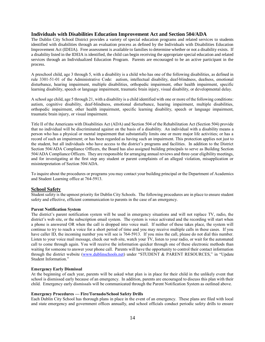#### **Individuals with Disabilities Education Improvement Act and Section 504/ADA**

The Dublin City School District provides a variety of special education programs and related services to students identified with disabilities through an evaluation process as defined by the Individuals with Disabilities Education Improvement Act (IDEIA). Free assessment is available to families to determine whether or not a disability exists. If a disability listed in the IDEIA is identified, the child can begin receiving the appropriate special education and related services through an Individualized Education Program. Parents are encouraged to be an active participant in the process.

A preschool child, age 3 through 5, with a disability is a child who has one of the following disabilities, as defined in rule 3301-51-01 of the Administrative Code: autism, intellectual disability, deaf-blindness, deafness, emotional disturbance, hearing impairment, multiple disabilities, orthopedic impairment, other health impairment, specific learning disability, speech or language impairment, traumatic brain injury, visual disability, or developmental delay.

A school age child, age 5 through 21, with a disability is a child identified with one or more of the following conditions: autism, cognitive disability, deaf-blindness, emotional disturbance, hearing impairment, multiple disabilities, orthopedic impairment, other health impairment, specific learning disability, speech or language impairment, traumatic brain injury, or visual impairment.

Title II of the Americans with Disabilities Act (ADA) and Section 504 of the Rehabilitation Act (Section 504) provide that no individual will be discriminated against on the basis of a disability. An individual with a disability means a person who has a physical or mental impairment that substantially limits one or more major life activities; or has a record of such an impairment; or has been regarded as having such an impairment. This protection applies not just to the student, but all individuals who have access to the district's programs and facilities. In addition to the District Section 504/ADA Compliance Officers, the Board has also assigned building principals to serve as Building Section 504/ADA Compliance Officers. They are responsible for arranging annual reviews and three-year eligibility meetings, and for investigating at the first step any student or parent complaints of an alleged violation, misapplication or misinterpretation of Section 504/ADA.

To inquire about the procedures or programs you may contact your building principal or the Department of Academics and Student Learning office at 764-5913.

#### **School Safety**

Student safety is the upmost priority for Dublin City Schools. The following procedures are in place to ensure student safety and effective, efficient communication to parents in the case of an emergency.

#### **Parent Notification System**

The district's parent notification system will be used in emergency situations and will not replace TV, radio, the district's web site, or the subscription email system. The system is voice activated and the recording will start when a phone is answered OR when the call is dropped into voice mail. If neither of these takes place, the system will continue to try to reach a voice for a short period of time and you may receive multiple calls in these cases. If you have caller ID, the incoming number you will see is 764-5913. If you miss the call, please do not dial this number. Listen to your voice mail message, check our web site, watch your TV, listen to your radio, or wait for the automated call to come through again. You will receive the information quicker through one of these electronic methods than waiting for someone to answer your phone call. Parents will have the opportunity to control their contact information through the district website [\(www.dublinschools.net\)](http://www.dublinschools.net/) under "STUDENT & PARENT RESOURCES," in "Update Student Information."

#### **Emergency Early Dismissal**

At the beginning of each year, parents will be asked what plan is in place for their child in the unlikely event that school is dismissed early because of an emergency. In addition, parents are encouraged to discuss this plan with their child. Emergency early dismissals will be communicated through the Parent Notification System as outlined above.

#### **Emergency Procedures — Fire/Tornado/School Safety Drills**

Each Dublin City School has thorough plans in place in the event of an emergency. These plans are filed with local and state emergency and government offices annually, and school officials conduct periodic safety drills to ensure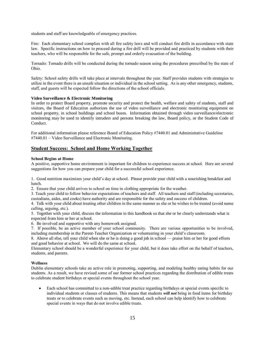students and staff are knowledgeable of emergency practices.

Fire: Each elementary school complies with all fire safety laws and will conduct fire drills in accordance with state law. Specific instructions on how to proceed during a fire drill will be provided and practiced by students with their teachers, who will be responsible for the safe, prompt and orderly evacuation of the building.

Tornado: Tornado drills will be conducted during the tornado season using the procedures prescribed by the state of Ohio.

Safety: School safety drills will take place at intervals throughout the year. Staff provides students with strategies to utilize in the event there is an unsafe situation or individual in the school setting. As is any other emergency, students, staff, and guests will be expected follow the directions of the school officials.

#### **Video Surveillance & Electronic Monitoring**

In order to protect Board property, promote security and protect the health, welfare and safety of students, staff and visitors, the Board of Education authorizes the use of video surveillance and electronic monitoring equipment on school property, in school buildings and school buses. Information obtained through video surveillance/electronic monitoring may be used to identify intruders and persons breaking the law, Board policy, or the Student Code of Conduct.

For additional information please reference Board of Education Policy #7440.01 and Administrative Guideline #7440.01 – Video Surveillance and Electronic Monitoring.

#### **Student Success: School and Home Working Together**

#### **School Begins at Home**

A positive, supportive home environment is important for children to experience success at school. Here are several suggestions for how you can prepare your child for a successful school experience.

1. Good nutrition maximizes your child's day at school. Please provide your child with a nourishing breakfast and lunch.

2. Ensure that your child arrives to school on time in clothing appropriate for the weather.

3. Teach your child to follow behavior expectations of teachers and staff. All teachers and staff (including secretaries, custodians, aides, and cooks) have authority and are responsible for the safety and success of children.

4. Talk with your child about treating other children in the same manner as she or he wishes to be treated (avoid name calling, arguing, etc.).

5. Together with your child, discuss the information in this handbook so that she or he clearly understands what is expected from him or her at school.

6. Be involved and supportive with any homework assigned.

7. If possible, be an active member of your school community. There are various opportunities to be involved, including membership in the Parent-Teacher Organization or volunteering in your child's classroom.

8. Above all else, tell your child when she or he is doing a good job in school — praise him or her for good efforts and good behavior at school. We will do the same at school.

Elementary school should be a wonderful experience for your child, but it does take effort on the behalf of teachers, students, and parents.

#### **Wellness**

Dublin elementary schools take an active role in promoting, supporting, and modeling healthy eating habits for our students. As a result, we have revised some of our former school practices regarding the distribution of edible treats to celebrate student birthdays or special events throughout the school year.

Each school has committed to a non-edible treat practice regarding birthdays or special events specific to individual students or classes of students. This means that students *will not* bring in food items for birthday treats or to celebrate events such as moving, etc. Instead, each school can help identify how to celebrate special events in ways that do not involve edible treats.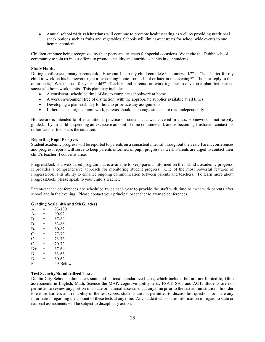• Annual **school wide celebrations** will continue to promote healthy eating as well by providing nutritional snack options such as fruits and vegetables. Schools will limit sweet treats for school wide events to one item per student.

Children embrace being recognized by their peers and teachers for special occasions. We invite the Dublin school community to join us in our efforts to promote healthy and nutritious habits in our students.

#### **Study Habits**

During conferences, many parents ask, "How can I help my child complete his homework?" or "Is it better for my child to work on his homework right after coming home from school or later in the evening?" The best reply to this question is, "What is best for your child?" Teachers and parents can work together to develop a plan that ensures successful homework habits. This plan may include:

- A consistent, scheduled time of day to complete schoolwork at home.
- A work environment free of distraction, with the appropriate supplies available at all times.
- Developing a plan each day for how to prioritize any assignments.
- If there is no assigned homework, parents should encourage students to read independently.

Homework is intended to offer additional practice on content that was covered in class. Homework is not heavily graded. If your child is spending an excessive amount of time on homework and is becoming frustrated, contact his or her teacher to discuss the situation.

#### **Reporting Pupil Progress**

Student academic progress will be reported to parents on a consistent interval throughout the year. Parent conferences and progress reports will serve to keep parents informed of pupil progress as well. Parents are urged to contact their child's teacher if concerns arise.

ProgressBook is a web-based program that is available to keep parents informed on their child's academic progress. It provides a comprehensive approach for monitoring student progress. One of the most powerful features of ProgessBook is its ability to enhance ongoing communication between parents and teachers. To learn more about ProgressBook, please speak to your child's teacher.

Parent-teacher conferences are scheduled twice each year to provide the staff with time to meet with parents after school and in the evening. Please contact your principal or teacher to arrange conferences.

#### **Grading Scale (4th and 5th Grades)**

|     | 93-100   |
|-----|----------|
| =   | 90-92    |
| =   | 87-89    |
| $=$ | 83-86    |
| =   | 80-82    |
| =   | 77-79    |
| $=$ | 73-76    |
| ≕   | 70-72    |
| $=$ | 67-69    |
| =   | 63-66    |
| $=$ | 60-62    |
| =   | 59-Below |
|     |          |

#### **Test Security/Standardized Tests**

Dublin City Schools administers state and national standardized tests, which include, but are not limited to, Ohio assessments in English, Math, Science the MAP, cognitive ability tests, PSAT, SAT and ACT. Students are not permitted to review any portion of a state or national assessment at any time prior to the test administration. In order to ensure fairness and reliability of the test scores, students are not permitted to discuss test questions or share any information regarding the content of these tests at any time. Any student who shares information in regard to state or national assessments will be subject to disciplinary action.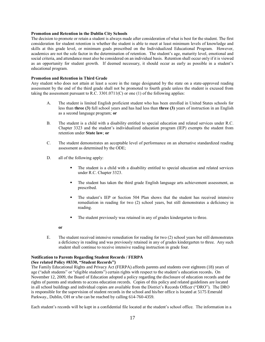#### **Promotion and Retention in the Dublin City Schools**

The decision to promote or retain a student is always made after consideration of what is best for the student. The first consideration for student retention is whether the student is able to meet at least minimum levels of knowledge and skills at this grade level, or minimum goals prescribed on the Individualized Educational Program. However, academics are not the sole factor in the determination of retention. The student's age, maturity level, emotional and social criteria, and attendance must also be considered on an individual basis. Retention shall occur only if it is viewed as an opportunity for student growth. If deemed necessary, it should occur as early as possible in a student's educational program.

#### **Promotion and Retention in Third Grade**

Any student who does not attain at least a score in the range designated by the state on a state-approved reading assessment by the end of the third grade shall not be promoted to fourth grade unless the student is excused from taking the assessment pursuant to R.C. 3301.0711(C) or one (1) of the following applies:

- A. The student is limited English proficient student who has been enrolled in United States schools for less than **three (3)** full school years and has had less than **three (3)** years of instruction in an English as a second language program; **or**
- B. The student is a child with a disability entitled to special education and related services under R.C. Chapter 3323 and the student's individualized education program (IEP) exempts the student from retention under **State law**; **or**
- C. The student demonstrates an acceptable level of performance on an alternative standardized reading assessment as determined by the ODE;
- D. all of the following apply:
	- The student is a child with a disability entitled to special education and related services under R.C. Chapter 3323.
	- The student has taken the third grade English language arts achievement assessment, as prescribed.
	- The student's IEP or Section 504 Plan shows that the student has received intensive remediation in reading for two (2) school years, but still demonstrates a deficiency in reading.
	- The student previously was retained in any of grades kindergarten to three.
	- **or**
- E. The student received intensive remediation for reading for two (2) school years but still demonstrates a deficiency in reading and was previously retained in any of grades kindergarten to three. Any such student shall continue to receive intensive reading instruction in grade four.

#### **Notification to Parents Regarding Student Records / FERPA**

#### **(See related Policy #8330, "Student Records")**

The Family Educational Rights and Privacy Act (FERPA) affords parents and students over eighteen (18) years of age ("adult students" or "eligible students") certain rights with respect to the student's education records**.** On November 12, 2009, the Board of Education adopted a policy regarding the disclosure of education records and the rights of parents and students to access education records. Copies of this policy and related guidelines are located in all school buildings and individual copies are available from the District's Records Officer ("DRO"). The DRO is responsible for the supervision of student records in the school and his/her office is located at 5175 Emerald Parkway., Dublin, OH or s/he can be reached by calling 614-760-4359.

Each student's records will be kept in a confidential file located at the student's school office. The information in a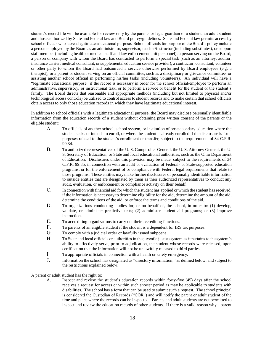student's record file will be available for review only by the parents or legal guardian of a student, an adult student and those authorized by State and Federal law and Board policy/guidelines. State and Federal law permits access by school officials who have a legitimate educational purpose. School officials for purpose of the Board's policy include a person employed by the Board as an administrator, supervisor, teacher/instructor (including substitutes), or support staff member (including health or medical staff and law enforcement unit personnel); a person serving on the Board; a person or company with whom the Board has contracted to perform a special task (such as an attorney, auditor, insurance carrier, medical consultant, or supplemental education service provider); a contractor, consultant, volunteer or other party to whom the Board had outsourced a service otherwise performed by Board employees (e.g. a therapist); or a parent or student serving on an official committee, such as a disciplinary or grievance committee, or assisting another school official in performing his/her tasks (including volunteers). An individual will have a "legitimate educational purpose" if the record is necessary in order for the school official/employee to perform an administrative, supervisory, or instructional task, or to perform a service or benefit for the student or the student's family. The Board directs that reasonable and appropriate methods (including but not limited to physical and/or technological access controls) be utilized to control access to student records and to make certain that school officials obtain access to only those education records in which they have legitimate educational interest.

In addition to school officials with a legitimate educational purpose, the Board may disclose personally identifiable information from the education records of a student without obtaining prior written consent of the parents or the eligible student:

- A. To officials of another school, school system, or institution of postsecondary education where the student seeks or intends to enroll, or where the student is already enrolled if the disclosure is for purposes related to the student's enrollment or transfer, subject to the requirements of 34 C.F.R. 99.34.
- B. To authorized representatives of the U. S. Comptroller General, the U. S. Attorney General, the U. S. Secretary of Education, or State and local educational authorities, such as the Ohio Department of Education. Disclosures under this provision may be made, subject to the requirements of 34 C.F.R. 99.35, in connection with an audit or evaluation of Federal- or State-supported education programs, or for the enforcement of or compliance with Federal legal requirements that relate to those programs. These entities may make further disclosures of personally identifiable information to outside entities that are designated by them as their authorized representatives to conduct any audit, evaluation, or enforcement or compliance activity on their behalf.
- C. In connection with financial aid for which the student has applied or which the student has received, if the information is necessary to determine eligibility for the aid, determine the amount of the aid, determine the conditions of the aid, or enforce the terms and conditions of the aid.
- D. To organizations conducting studies for, or on behalf of, the school, in order to: (1) develop, validate, or administer predictive tests; (2) administer student aid programs; or (3) improve instruction.
- E. To accrediting organizations to carry out their accrediting functions.
- F. To parents of an eligible student if the student is a dependent for IRS tax purposes.
- G. To comply with a judicial order or lawfully issued subpoena.
- H. To State and local officials or authorities in the juvenile justice system as it pertains to the system's ability to effectively serve, prior to adjudication, the student whose records were released, upon certification that the information will not be unlawfully released to third parties.
- I. To appropriate officials in connection with a health or safety emergency.
- J. Information the school has designated as "directory information," as defined below, and subject to the restrictions explained below.

A parent or adult student has the right to:

A. Inspect and review the student's education records within forty-five (45) days after the school receives a request for access or within such shorter period as may be applicable to students with disabilities. The school has a form that can be used to submit such a request. The school principal is considered the Custodian of Records ("COR") and will notify the parent or adult student of the time and place where the records can be inspected. Parents and adult students are not permitted to inspect and review the education records of other students. If there is a valid reason why a parent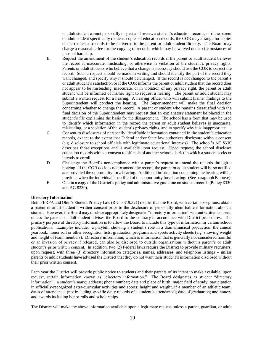or adult student cannot personally inspect and review a student's education records, or if the parent or adult student specifically requests copies of education records, the COR may arrange for copies of the requested records to be delivered to the parent or adult student directly. The Board may charge a reasonable fee for the copying of records, which may be waived under circumstances of unusual hardship.

- B. Request the amendment of the student's education records if the parent or adult student believes the record is inaccurate, misleading, or otherwise in violation of the student's privacy rights. Parents or adult students who believe that a change is necessary should ask the COR to correct the record. Such a request should be made in writing and should identify the part of the record they want changed, and specify why it should be changed. If the record is not changed to the parent's or adult student's satisfaction or if the COR informs the parent or adult student that the record does not appear to be misleading, inaccurate, or in violation of any privacy right, the parent or adult student will be informed of his/her right to request a hearing. The parent or adult student may submit a written request for a hearing. A hearing officer who will submit his/her findings to the Superintendent will conduct the hearing. The Superintendent will make the final decision concerning whether to change the record. A parent or student who remains dissatisfied with the final decision of the Superintendent may request that an explanatory statement be placed in the student's file explaining the basis for the disagreement. The school has a form that may be used to identify which information in the record the parent or adult student believes is inaccurate, misleading, or a violation of the student's privacy rights, and to specify why it is inappropriate.
- C. Consent to disclosures of personally identifiable information contained in the student's education records, except to the extent that Federal and/or State law authorizes disclosure without consent (e.g. disclosure to school officials with legitimate educational interests). The school's AG 8330 describes those exceptions and is available upon request. Upon request, the school discloses education records without consent to officials of another school district in which a student seeks or intends to enroll.
- D. Challenge the Board's noncompliance with a parent's request to amend the records through a hearing. If the COR decides not to amend the record, the parent or adult student will be so notified and provided the opportunity for a hearing. Additional information concerning the hearing will be provided when the individual is notified of the opportunity for a hearing. (See paragraph B above).
- E. Obtain a copy of the District's policy and administrative guideline on student records (Policy 8330 and AG 8330).

#### **Directory Information**

Both FERPA and Ohio's Student Privacy Law (R.C. 3319.321) require that the Board, with certain exceptions, obtain a parent or adult student's written consent prior to the disclosure of personally identifiable information about a student. However, the Board may disclose appropriately designated "directory information" without written consent, unless the parent or adult student advises the Board to the contrary in accordance with District procedures. The primary purpose of directory information is to allow the Board to include this type of information in certain school publications. Examples include: a playbill, showing a student's role in a drama/musical production; the annual yearbook; honor roll or other recognition lists; graduation programs and sports activity sheets (e.g. showing weight and height of team members). Directory information, which is information that is generally not considered harmful or an invasion of privacy if released, can also be disclosed to outside organizations without a parent's or adult student's prior written consent. In addition, two (2) Federal laws require the District to provide military recruiters, upon request, with three (3) directory information categories, names, addresses, and telephone listings – unless parents or adult students have advised the District that they do not want their student's information disclosed without their prior written consent.

Each year the District will provide public notice to students and their parents of its intent to make available, upon request, certain information known as "directory information." The Board designates as student "directory information": a student's name; address; phone number; date and place of birth; major field of study; participation in officially-recognized extra-curricular activities and sports; height and weight, if a member of an athletic team; dates of attendance; (not including specific daily records of a student's attendance); date of graduation; and honors and awards including honor rolls and scholarships.

The District will make the above information available upon a legitimate request unless a parent, guardian, or adult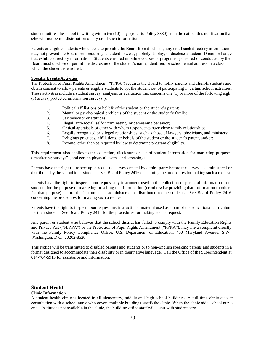student notifies the school in writing within ten (10) days (refer to Policy 8330) from the date of this notification that s/he will not permit distribution of any or all such information.

Parents or eligible students who choose to prohibit the Board from disclosing any or all such directory information may not prevent the Board from requiring a student to wear, publicly display, or disclose a student ID card or badge that exhibits directory information. Students enrolled in online courses or programs sponsored or conducted by the Board must disclose or permit the disclosure of the student's name, identifier, or school email address in a class in which the student is enrolled.

#### **Specific Events/Activities**

The Protection of Pupil Rights Amendment ("PPRA") requires the Board to notify parents and eligible students and obtain consent to allow parents or eligible students to opt the student out of participating in certain school activities. These activities include a student survey, analysis, or evaluation that concerns one (1) or more of the following eight (8) areas ("protected information surveys"):

- 1. Political affiliations or beliefs of the student or the student's parent;
- 2. Mental or psychological problems of the student or the student's family;
- 3. Sex behavior or attitudes;
- 4. Illegal, anti-social, self-incriminating, or demeaning behavior;
- 5. Critical appraisals of other with whom respondents have close family relationship;
- 6. Legally recognized privileged relationships, such as those of lawyers, physicians, and ministers;
- 7. Religious practices, affiliations, or beliefs of the student or the student's parent, and/or;
- 8. Income, other than as required by law to determine program eligibility.

This requirement also applies to the collection, disclosure or use of student information for marketing purposes ("marketing surveys"), and certain physical exams and screenings.

Parents have the right to inspect upon request a survey created by a third party before the survey is administered or distributed by the school to its students. See Board Policy 2416 concerning the procedures for making such a request.

Parents have the right to inspect upon request any instrument used in the collection of personal information from students for the purpose of marketing or selling that information (or otherwise providing that information to others for that purpose) before the instrument is administered or distributed to the students. See Board Policy 2416 concerning the procedures for making such a request.

Parents have the right to inspect upon request any instructional material used as a part of the educational curriculum for their student. See Board Policy 2416 for the procedures for making such a request.

Any parent or student who believes that the school district has failed to comply with the Family Education Rights and Privacy Act ("FERPA") or the Protection of Pupil Rights Amendment ("PPRA"), may file a complaint directly with the Family Policy Compliance Office, U.S. Department of Education, 400 Maryland Avenue, S.W., Washington, D.C. 20202-8520.

This Notice will be transmitted to disabled parents and students or to non-English speaking parents and students in a format designed to accommodate their disability or in their native language. Call the Office of the Superintendent at 614-764-5913 for assistance and information.

#### **Student Health**

#### **Clinic Information**

A student health clinic is located in all elementary, middle and high school buildings. A full time clinic aide, in consultation with a school nurse who covers multiple buildings, staffs the clinic. When the clinic aide, school nurse, or a substitute is not available in the clinic, the building office staff will assist with student care.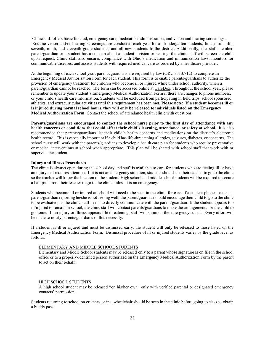Clinic staff offers basic first aid, emergency care, medication administration, and vision and hearing screenings. Routine vision and/or hearing screenings are conducted each year for all kindergarten students, first, third, fifth, seventh, ninth, and eleventh grade students, and all new students to the district. Additionally, if a staff member, parent/guardian or a student has a concern about a student's vision or hearing, the clinic staff will screen the child upon request. Clinic staff also ensures compliance with Ohio's medication and immunization laws, monitors for communicable diseases, and assists students with required medical care as ordered by a healthcare provider.

At the beginning of each school year, parents/guardians are required by law (ORC 3313.712) to complete an Emergency Medical Authorization Form for each student. This form is to enable parents/guardians to authorize the provision of emergency treatment for children who become ill or injured while under school authority, when a parent/guardian cannot be reached. The form can be accessed online at [CareDox.](https://secure.caredox.com/accounts/login?utc_source=marketingwebsite&utm_medium=web) Throughout the school year, please remember to update your student's Emergency Medical Authorization Form if there are changes to phone numbers, or your child's health care information. Students will be excluded from participating in field trips, school sponsored athletics, and extracurricular activities until this requirement has been met. **Please note: If a student becomes ill or is injured during normal school hours, they will only be released to individuals listed on the Emergency Medical Authorization Form.** Contact the school of attendance health clinic with questions.

**Parents/guardians are encouraged to contact the school nurse prior to the first day of attendance with any health concerns or conditions that could affect their child's learning, attendance, or safety at school.** It is also recommended that parents/guardians list their child's health concerns and medications on the district's electronic health record. This is especially important if a child has life-threatening allergies, seizures, diabetes, or concerns. The school nurse will work with the parents/guardians to develop a health care plan for students who require preventative or medical interventions at school when appropriate. This plan will be shared with school staff that work with or supervise the student.

#### **Injury and Illness Procedures**

The clinic is always open during the school day and staff is available to care for students who are feeling ill or have an injury that requires attention. If it is not an emergency situation, students should ask their teacher to go to the clinic so the teacher will know the location of the student. High school and middle school students will be required to secure a hall pass from their teacher to go to the clinic unless it is an emergency.

Students who become ill or injured at school will need to be seen in the clinic for care. If a student phones or texts a parent/guardian reporting he/she is not feeling well; the parent/guardian should encourage their child to go to the clinic to be evaluated, as the clinic staff needs to directly communicate with the parent/guardian. If the student appears too ill/injured to remain in school, the clinic staff will contact parents/guardians to make the arrangements for the child to go home. If an injury or illness appears life threatening, staff will summon the emergency squad. Every effort will be made to notify parents/guardians of this necessity.

If a student is ill or injured and must be dismissed early, the student will only be released to those listed on the Emergency Medical Authorization Form. Dismissal procedure of ill or injured students varies by the grade level as follows:

#### ELEMENTARY AND MIDDLE SCHOOL STUDENTS

Elementary and Middle School students may be released only to a parent whose signature is on file in the school office or to a properly-identified person authorized on the Emergency Medical Authorization Form by the parent to act on their behalf.

#### HIGH SCHOOL STUDENTS

A high school student may be released "on his/her own" only with verified parental or designated emergency contacts' permission.

Students returning to school on crutches or in a wheelchair should be seen in the clinic before going to class to obtain a buddy pass.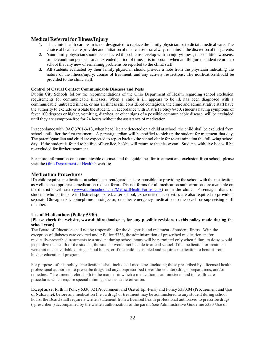#### **Medical Referral for Illness/Injury**

- 1. The clinic health care team is not designated to replace the family physician or to dictate medical care. The choice of health care provider and initiation of medical referral always remains at the discretion of the parents.
- 2. Your family physician should be contacted if: problems develop with an injury/illness, the condition worsens, or the condition persists for an extended period of time. It is important when an ill/injured student returns to school that any new or remaining problems be reported to the clinic staff.
- 3. All students evaluated by their family physician should provide a note from the physician indicating the nature of the illness/injury, course of treatment, and any activity restrictions. The notification should be provided to the clinic staff.

#### **Control of Casual Contact Communicable Diseases and Pests**

Dublin City Schools follow the recommendations of the Ohio Department of Health regarding school exclusion requirements for communicable illnesses. When a child is ill, appears to be ill, has been diagnosed with a communicable, untreated illness, or has an illness still considered contagious, the clinic and administrative staff have the authority to exclude or isolate the student. In accordance with District Policy 8450, students having symptoms of fever 100 degrees or higher, vomiting, diarrhea, or other signs of a possible communicable disease, will be excluded until they are symptom-free for 24 hours without the assistance of medication.

In accordance with OAC 3701-3-13, when head lice are detected on a child at school, the child shall be excluded from school until after the first treatment. A parent/guardian will be notified to pick up the student for treatment that day. The parent/guardian and child are expected to report back to the school clinic for re-examination the following school day. If the student is found to be free of live lice, he/she will return to the classroom. Students with live lice will be re-excluded for further treatment.

For more information on communicable diseases and the guidelines for treatment and exclusion from school, please visit the [Ohio Department of Health'](http://www.odh.ohio.gov/healthresources/infectiousdiseasemanual.aspx)s website.

#### **Medication Procedures**

If a child requires medications at school, a parent/guardian is responsible for providing the school with the medication as well as the appropriate medication request form. District forms for all medication authorizations are available on the district's web site [\(www.dublinschools.net/MedicalHealthForms.aspx\)](http://www.dublinschools.net/MedicalHealthForms.aspx) or in the clinic. Parents/guardians of students who participate in District-sponsored, after school, extracurricular activities are also required to provide a separate Glucagon kit, epinephrine autoinjector, or other emergency medication to the coach or supervising staff member.

#### **Use of Medications (Policy 5330)**

#### **[Please check the website, [www.dublinschools.net,](http://www.dublinschools.net/) for any possible revisions to this policy made during the school year.]**

The Board of Education shall not be responsible for the diagnosis and treatment of student illness. With the exception of diabetes care covered under Policy 5336, the administration of prescribed medication and/or medically-prescribed treatments to a student during school hours will be permitted only when failure to do so would jeopardize the health of the student, the student would not be able to attend school if the medication or treatment were not made available during school hours, or if the child is disabled and requires medication to benefit from his/her educational program.

For purposes of this policy, "medication" shall include all medicines including those prescribed by a licensed health professional authorized to prescribe drugs and any nonprescribed (over-the-counter) drugs, preparations, and/or remedies. "Treatment" refers both to the manner in which a medication is administered and to health-care procedures which require special training, such as catheterization.

Except as set forth in Policy 5330.02 (Procurement and Use of Epi-Pens) and Policy 5330.04 (Procurement and Use of Naloxone), before any medication (i.e., a drug) or treatment may be administered to any student during school hours, the Board shall require a written statement from a licensed health professional authorized to prescribe drugs ("prescriber") accompanied by the written authorization of the parent (see Administrative Guideline 5330-Use of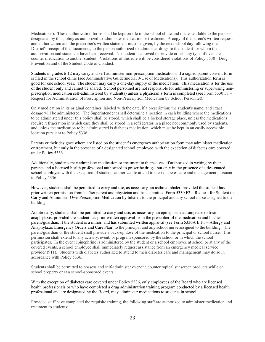Medications). These authorization forms shall be kept on file in the school clinic and made available to the persons designated by this policy as authorized to administer medication or treatment. A copy of the parent's written request and authorization and the prescriber's written statement must be given, by the next school day following the District's receipt of the documents, to the person authorized to administer drugs to the student for whom the authorization and statement have been received. No student is allowed to provide or sell any type of over-thecounter medication to another student. Violations of this rule will be considered violations of Policy 5530 - Drug Prevention and of the Student Code of Conduct.

Students in grades 6-12 may carry and self-administer non-prescription medications, if a signed parent consent form is filed in the school clinic (see Administrative Guideline 5330-Use of Medications). This authorization form is good for one school year. The student may carry a one-day supply of the medication. This medication is for the use of the student only and cannot be shared. School personnel are not responsible for administering or supervising nonprescription medication self-administered by student(s) unless a physician's form is completed (see Form 5330 F1 – Request for Administration of Prescription and Non-Prescription Medication by School Personnel).

Only medication in its original container; labeled with the date, if a prescription; the student's name; and exact dosage will be administered. The Superintendent shall determine a location in each building where the medications to be administered under this policy shall be stored, which shall be a locked storage place, unless the medications require refrigeration in which case they shall be stored in a refrigerator in a place not commonly used by students, and unless the medication to be administered is diabetes medication, which must be kept in an easily accessible location pursuant to Policy 5336.

Parents or their designee whom are listed on the student's emergency authorization form may administer medication or treatment, but only in the presence of a designated school employee, with the exception of diabetes care covered under Policy 5336.

Additionally, students may administer medication or treatment to themselves, if authorized in writing by their parents and a licensed health professional authorized to prescribe drugs, but only in the presence of a designated school employee with the exception of students authorized to attend to their diabetes care and management pursuant to Policy 5336.

However, students shall be permitted to carry and use, as necessary, an asthma inhaler, provided the student has prior written permission from his/her parent and physician and has submitted Form 5330 F2 – Request for Student to Carry and Administer Own Prescription Medication by Inhaler, to the principal and any school nurse assigned to the building.

Additionally, students shall be permitted to carry and use, as necessary, an epinephrine autoinjector to treat anaphylaxis, provided the student has prior written approval from the prescriber of the medication and his/her parent/guardian, if the student is a minor, and has submitted written approval (see Form 5330A E F1 – Allergy and Anaphylaxis Emergency Orders and Care Plan) to the principal and any school nurse assigned to the building. The parent/guardian or the student shall provide a back-up dose of the medication to the principal or school nurse. This permission shall extend to any activity, event, or program sponsored by the school or in which the school participates. In the event epinephrine is administered by the student or a school employee at school or at any of the covered events, a school employee shall immediately request assistance from an emergency medical service provider (911). Students with diabetes authorized to attend to their diabetes care and management may do so in accordance with Policy 5336.

Students shall be permitted to possess and self-administer over-the counter topical sunscreen products while on school property or at a school-sponsored events.

With the exception of diabetes care covered under Policy 5336, only employees of the Board who are licensed health professionals or who have completed a drug administration training program conducted by a licensed health professional and are designated by the Board, may administer medications to students in school.

Provided staff have completed the requisite training, the following staff are authorized to administer medication and treatment to students: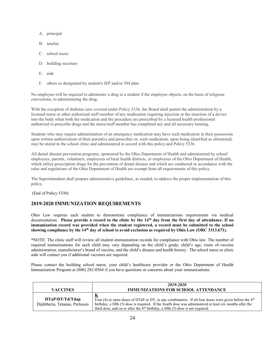- A. principal
- B. teacher
- C. school nurse
- D. building secretary
- E. aide
- F. others as designated by student's IEP and/or 504 plan

No employee will be required to administer a drug to a student if the employee objects, on the basis of religious convictions, to administering the drug.

With the exception of diabetes care covered under Policy 5336, the Board shall permit the administration by a licensed nurse or other authorized staff member of any medication requiring injection or the insertion of a device into the body when both the medication and the procedure are prescribed by a licensed health professional authorized to prescribe drugs and the nurse/staff member has completed any and all necessary training.

Students who may require administration of an emergency medication may have such medication in their possession upon written authorization of their parent(s) and prescriber or, such medication, upon being identified as aforenoted, may be stored in the school clinic and administered in accord with this policy and Policy 5336.

All dental disease prevention programs, sponsored by the Ohio Department of Health and administered by school employees, parents, volunteers, employees of local health districts, or employees of the Ohio Department of Health, which utilize prescription drugs for the prevention of dental disease and which are conducted in accordance with the rules and regulations of the Ohio Department of Health are exempt from all requirements of this policy.

The Superintendent shall prepare administrative guidelines, as needed, to address the proper implementation of this policy.

(End of Policy 5330)

#### **2019-2020 IMMUNIZATION REQUIREMENTS**

Ohio Law requires each student to demonstrate compliance of immunizations requirements via medical documentation. **Please provide a record to the clinic by the 14th day from the first day of attendance. If no immunization record was provided when the student registered, a record must be submitted to the school showing compliance by the 14th day of school to avoid exclusion as required by Ohio Law (ORC 3313.671).**

\*NOTE: The clinic staff will review all student immunization records for compliance with Ohio law. The number of required immunizations for each child may vary depending on the child's grade, child's age, route of vaccine administration, manufacturer's brand of vaccine, and the child's disease and health history. The school nurse or clinic aide will contact you if additional vaccines are required.

Please contact the building school nurse, your child's healthcare provider or the Ohio Department of Health Immunization Program at (800) 282-0564 if you have questions or concerns about your immunizations.

| <b>VACCINES</b>                                   | 2019-2020<br><b>IMMUNIZATIONS FOR SCHOOL ATTENDANCE</b>                                                                                                                                                                                                                                                               |
|---------------------------------------------------|-----------------------------------------------------------------------------------------------------------------------------------------------------------------------------------------------------------------------------------------------------------------------------------------------------------------------|
| DTaP/DT/Td/Tdap<br>Diphtheria, Tetanus, Pertussis | <u>K</u><br>Four (4) or more doses of DTaP or DT, or any combination. If all four doses were given before the $4th$<br>birthday, a fifth (5) dose is required. If the fourth dose was administered at least six months after the<br>third dose, and on or after the $4th$ birthday, a fifth (5) dose is not required. |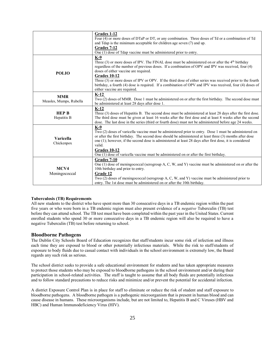|                                       | Grades 1-12<br>Four (4) or more doses of DTaP or DT, or any combination. Three doses of Td or a combination of Td<br>and Tdap is the minimum acceptable for children age seven $(7)$ and up.<br>Grades 7-12<br>One (1) dose of Tdap vaccine must be administered prior to entry.                                                                                                                                                                                                                                                          |
|---------------------------------------|-------------------------------------------------------------------------------------------------------------------------------------------------------------------------------------------------------------------------------------------------------------------------------------------------------------------------------------------------------------------------------------------------------------------------------------------------------------------------------------------------------------------------------------------|
| <b>POLIO</b>                          | K-9<br>Three (3) or more doses of IPV. The FINAL dose must be administered on or after the $4th$ birthday<br>regardless of the number of previous doses. If a combination of OPV and IPV was received, four (4)<br>doses of either vaccine are required.<br><b>Grades 10-12</b><br>Three (3) or more doses of IPV or OPV. If the third dose of either series was received prior to the fourth<br>birthday, a fourth (4) dose is required. If a combination of OPV and IPV was received, four (4) doses of<br>either vaccine are required. |
| <b>MMR</b><br>Measles, Mumps, Rubella | $K-12$<br>Two (2) doses of MMR. Dose 1 must be administered on or after the first birthday. The second dose must<br>be administered at least 28 days after dose 1.                                                                                                                                                                                                                                                                                                                                                                        |
| <b>HEP B</b><br>Hepatitis B           | $K-12$<br>Three (3) doses of Hepatitis B. The second dose must be administered at least 28 days after the first dose.<br>The third dose must be given at least 16 weeks after the first dose and at least 8 weeks after the second<br>dose. The last dose in the series (third or fourth dose) must not be administered before age 24 weeks.                                                                                                                                                                                              |
| Varicella<br>Chickenpox               | $K-9$<br>Two (2) doses of varicella vaccine must be administered prior to entry. Dose 1 must be administered on<br>or after the first birthday. The second dose should be administered at least three (3) months after dose<br>one $(1)$ ; however, if the second dose is administered at least 28 days after first dose, it is considered<br>valid.<br><b>Grades 10-12</b><br>One (1) dose of varicella vaccine must be administered on or after the first birthday.                                                                     |
| MCV4<br>Meningococcal                 | Grades 7-10<br>One $(1)$ dose of meningococcal (serogroup A, C, W, and Y) vaccine must be administered on or after the<br>10th birthday and prior to entry.<br>Grade 12<br>Two $(2)$ doses of meningococcal (serogroup A, C, W, and Y) vaccine must be administered prior to<br>entry. The 1st dose must be administered on or after the 10th birthday.                                                                                                                                                                                   |

#### **Tuberculosis (TB) Requirements**

All new students to the district who have spent more than 30 consecutive days in a TB endemic region within the past five years or who were born in a TB endemic region must also present evidence of a *negative* Tuberculin (TB) test before they can attend school. The TB test must have been completed within the past year in the United States. Current enrolled students who spend 30 or more consecutive days in a TB endemic region will also be required to have a negative Tuberculin (TB) test before returning to school.

#### **Bloodborne Pathogens**

The Dublin City Schools Board of Education recognizes that staff/students incur some risk of infection and illness each time they are exposed to blood or other potentially infectious materials. While the risk to staff/students of exposure to body fluids due to casual contact with individuals in the school environment is extremely low, the Board regards any such risk as serious.

The school district seeks to provide a safe educational environment for students and has taken appropriate measures to protect those students who may be exposed to bloodborne pathogens in the school environment and/or during their participation in school-related activities. The staff is taught to assume that all body fluids are potentially infectious and to follow standard precautions to reduce risks and minimize and/or prevent the potential for accidental infection.

A district Exposure Control Plan is in place for staff to eliminate or reduce the risk of student and staff exposure to bloodborne pathogens. A bloodborne pathogen is a pathogenic microorganism that is present in human blood and can cause disease in humans. These microorganisms include, but are not limited to, Hepatitis B and C Viruses (HBV and HBC) and Human Immunodeficiency Virus (HIV).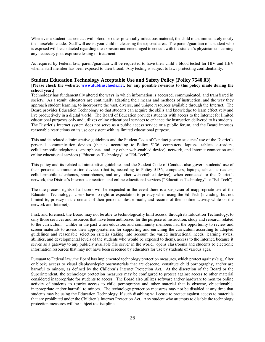Whenever a student has contact with blood or other potentially infectious material, the child must immediately notify the nurse/clinic aide. Staff will assist your child in cleansing the exposed area. The parent/guardian of a student who is exposed will be contacted regarding the exposure and encouraged to consult with the student's physician concerning any necessary post-exposure testing or treatment.

As required by Federal law, parent/guardian will be requested to have their child's blood tested for HIV and HBV when a staff member has been exposed to their blood. Any testing is subject to laws protecting confidentiality.

#### **Student Education Technology Acceptable Use and Safety Policy (Policy 7540.03)**

#### **[Please check the website, [www.dublinschools.net,](http://www.dublinschools.net/) for any possible revisions to this policy made during the school year.]**

Technology has fundamentally altered the ways in which information is accessed, communicated, and transferred in society. As a result, educators are continually adapting their means and methods of instruction, and the way they approach student learning, to incorporate the vast, diverse, and unique resources available through the Internet. The Board provides Education Technology so that students can acquire the skills and knowledge to learn effectively and live productively in a digital world. The Board of Education provides students with access to the Internet for limited educational purposes only and utilizes online educational services to enhance the instruction delivered to its students. The District's Internet system does not serve as a public access service or a public forum, and the Board imposes reasonable restrictions on its use consistent with its limited educational purpose.

This and its related administrative guidelines and the Student Code of Conduct govern students' use of the District's personal communication devices (that is, according to Policy 5136, computers, laptops, tablets, e-readers, cellular/mobile telephones, smartphones, and any other web-enabled device), network, and Internet connection and online educational services ("Education Technology" or "Ed-Tech").

This policy and its related administrative guidelines and the Student Code of Conduct also govern students' use of their personal communication devices (that is, according to Policy 5136, computers, laptops, tablets, e-readers, cellular/mobile telephones, smartphones, and any other web-enabled device), when connected to the District's network, the District's Internet connection, and online educational services ("Education Technology" or "Ed-Tech").

The due process rights of all users will be respected in the event there is a suspicion of inappropriate use of the Education Technology. Users have no right or expectation to privacy when using the Ed-Tech (including, but not limited to, privacy in the content of their personal files, e-mails, and records of their online activity while on the network and Internet).

First, and foremost, the Board may not be able to technologically limit access, through its Education Technology, to only those services and resources that have been authorized for the purpose of instruction, study and research related to the curriculum. Unlike in the past when educators and community members had the opportunity to review and screen materials to assess their appropriateness for supporting and enriching the curriculum according to adopted guidelines and reasonable selection criteria (taking into account the varied instructional needs, learning styles, abilities, and developmental levels of the students who would be exposed to them), access to the Internet, because it serves as a gateway to any publicly available file server in the world, opens classrooms and students to electronic information resources that may not have been screened by educators for use by students of various ages.

Pursuant to Federal law, the Board has implemented technology protection measures, which protect against (e.g., filter or block) access to visual displays/depictions/materials that are obscene, constitute child pornography, and/or are harmful to minors, as defined by the Children's Internet Protection Act. At the discretion of the Board or the Superintendent, the technology protection measures may be configured to protect against access to other material considered inappropriate for students to access. The Board also utilizes software and/or hardware to monitor online activity of students to restrict access to child pornography and other material that is obscene, objectionable, inappropriate and/or harmful to minors. The technology protection measures may not be disabled at any time that students may be using the Education Technology, if such disabling will cease to protect against access to materials that are prohibited under the Children's Internet Protection Act. Any student who attempts to disable the technology protection measures will be subject to discipline.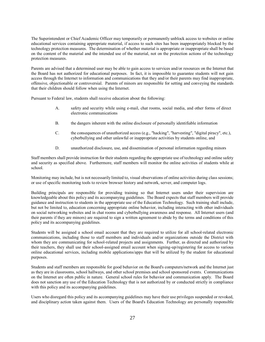The Superintendent or Chief Academic Officer may temporarily or permanently unblock access to websites or online educational services containing appropriate material, if access to such sites has been inappropriately blocked by the technology protection measures. The determination of whether material is appropriate or inappropriate shall be based on the content of the material and the intended use of the material, not on the protection actions of the technology protection measures.

Parents are advised that a determined user may be able to gain access to services and/or resources on the Internet that the Board has not authorized for educational purposes. In fact, it is impossible to guarantee students will not gain access through the Internet to information and communications that they and/or their parents may find inappropriate, offensive, objectionable or controversial. Parents of minors are responsible for setting and conveying the standards that their children should follow when using the Internet.

Pursuant to Federal law, students shall receive education about the following:

- A. safety and security while using e-mail, chat rooms, social media, and other forms of direct electronic communications
- B. the dangers inherent with the online disclosure of personally identifiable information
- C. the consequences of unauthorized access (e.g., "hacking", "harvesting", "digital piracy", etc.), cyberbullying and other unlawful or inappropriate activities by students online, and
- D. unauthorized disclosure, use, and dissemination of personal information regarding minors

Staff members shall provide instruction for their students regarding the appropriate use of technology and online safety and security as specified above. Furthermore, staff members will monitor the online activities of students while at school.

Monitoring may include, but is not necessarily limited to, visual observations of online activities during class sessions; or use of specific monitoring tools to review browser history and network, server, and computer logs.

Building principals are responsible for providing training so that Internet users under their supervision are knowledgeable about this policy and its accompanying guidelines. The Board expects that staff members will provide guidance and instruction to students in the appropriate use of the Education Technology. Such training shall include, but not be limited to, education concerning appropriate online behavior, including interacting with other individuals on social networking websites and in chat rooms and cyberbullying awareness and response. All Internet users (and their parents if they are minors) are required to sign a written agreement to abide by the terms and conditions of this policy and its accompanying guidelines.

Students will be assigned a school email account that they are required to utilize for all school-related electronic communications, including those to staff members and individuals and/or organizations outside the District with whom they are communicating for school-related projects and assignments. Further, as directed and authorized by their teachers, they shall use their school-assigned email account when signing-up/registering for access to various online educational services, including mobile applications/apps that will be utilized by the student for educational purposes.

Students and staff members are responsible for good behavior on the Board's computers/network and the Internet just as they are in classrooms, school hallways, and other school premises and school sponsored events. Communications on the Internet are often public in nature. General school rules for behavior and communication apply. The Board does not sanction any use of the Education Technology that is not authorized by or conducted strictly in compliance with this policy and its accompanying guidelines.

Users who disregard this policy and its accompanying guidelines may have their use privileges suspended or revoked, and disciplinary action taken against them. Users of the Board's Education Technology are personally responsible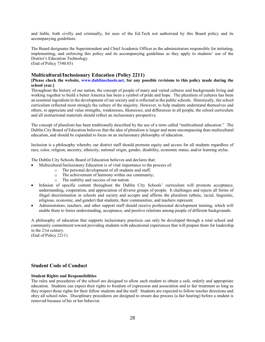and liable, both civilly and criminally, for uses of the Ed-Tech not authorized by this Board policy and its accompanying guidelines.

The Board designates the Superintendent and Chief Academic Officer as the administrators responsible for initiating, implementing, and enforcing this policy and its accompanying guidelines as they apply to students' use of the District's Education Technology. (End of Policy 7540.03)

#### **Multicultural/Inclusionary Education (Policy 2211)**

#### **[Please check the website, [www.dublinschools.net,](http://www.dublinschools.net/) for any possible revisions to this policy made during the school year.]**

Throughout the history of our nation, the concept of people of many and varied cultures and backgrounds living and working together to build a better America has been a symbol of pride and hope. The pluralism of cultures has been an essential ingredient in the development of our society and is reflected in the public schools. Historically, the school curriculum reflected most strongly the culture of the majority. However, to help students understand themselves and others, to appreciate and value strengths, weaknesses, likenesses, and differences in all people, the school curriculum and all instructional materials should reflect an inclusionary perspective.

The concept of pluralism has been traditionally described by the use of a term called "multicultural education." The Dublin City Board of Education believes that the idea of pluralism is larger and more encompassing than multicultural education, and should be expanded to focus on an inclusionary philosophy of education.

Inclusion is a philosophy whereby our district staff should promote equity and access for all students regardless of race, color, religion, ancestry, ethnicity, national origin, gender, disability, economic status, and/or learning styles.

The Dublin City Schools Board of Education believes and declares that:

- Multicultural/Inclusionary Education is of vital importance to the process of:
	- o The personal development of all students and staff;
	- o The achievement of harmony within our community;
	- o The stability and success of our nation.
- Infusion of specific content throughout the Dublin City Schools' curriculum will promote acceptance, understanding, cooperation, and appreciation of diverse groups of people. It challenges and rejects all forms of illegal discrimination in schools and society and accepts and affirms the pluralism (ethnic, racial, linguistic, religious, economic, and gender) that students, their communities, and teachers represent.
- Administrators, teachers, and other support staff should receive professional development training, which will enable them to foster understanding, acceptance, and positive relations among people of different backgrounds.

A philosophy of education that supports inclusionary practices can only be developed through a total school and community commitment toward providing students with educational experiences that will prepare them for leadership in the 21st century.

(End of Policy 2211)

#### **Student Code of Conduct**

#### **Student Rights and Responsibilities**

The rules and procedures of the school are designed to allow each student to obtain a safe, orderly and appropriate education. Students can expect their rights to freedom of expression and association and to fair treatment as long as they respect those rights for their fellow students and the staff. Students are expected to follow teacher directions and obey all school rules. Disciplinary procedures are designed to ensure due process (a fair hearing) before a student is removed because of his or her behavior.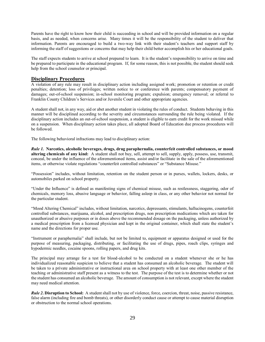Parents have the right to know how their child is succeeding in school and will be provided information on a regular basis, and as needed, when concerns arise. Many times it will be the responsibility of the student to deliver that information. Parents are encouraged to build a two-way link with their student's teachers and support staff by informing the staff of suggestions or concerns that may help their child better accomplish his or her educational goals.

The staff expects students to arrive at school prepared to learn. It is the student's responsibility to arrive on time and be prepared to participate in the educational program. If, for some reason, this is not possible, the student should seek help from the school counselor or principal.

#### **Disciplinary Procedures**

A violation of any rule may result in disciplinary action including assigned work; promotion or retention or credit penalties; detention; loss of privileges; written notice to or conference with parents; compensatory payment of damages; out-of-school suspension; in-school monitoring program; expulsion; emergency removal; or referral to Franklin County Children's Services and/or Juvenile Court and other appropriate agencies.

A student shall not, in any way, aid or abet another student in violating the rules of conduct. Students behaving in this manner will be disciplined according to the severity and circumstances surrounding the rule being violated. If the disciplinary action includes an out-of-school suspension, a student is eligible to earn credit for the work missed while on a suspension. When disciplinary action takes place, all adopted Board of Education due process procedures will be followed.

The following behavioral infractions may lead to disciplinary action:

*Rule 1.* **Narcotics, alcoholic beverages, drugs, drug paraphernalia, counterfeit controlled substances, or mood altering chemicals of any kind:** A student shall not buy, sell, attempt to sell, supply, apply, possess, use, transmit, conceal, be under the influence of the aforementioned items, assist and/or facilitate in the sale of the aforementioned items, or otherwise violate regulations "counterfeit controlled substances" or "Substance Misuse."

"Possession" includes, without limitation, retention on the student person or in purses, wallets, lockers, desks, or automobiles parked on school property.

"Under the Influence" is defined as manifesting signs of chemical misuse, such as restlessness, staggering, odor of chemicals, memory loss, abusive language or behavior, falling asleep in class, or any other behavior not normal for the particular student.

"Mood Altering Chemical" includes, without limitation, narcotics, depressants, stimulants, hallucinogens, counterfeit controlled substances, marijuana, alcohol, and prescription drugs, non prescription medications which are taken for unauthorized or abusive purposes or in doses above the recommended dosage on the packaging, unless authorized by a medical prescription from a licensed physician and kept in the original container, which shall state the student's name and the directions for proper use.

"Instrument or paraphernalia" shall include, but not be limited to, equipment or apparatus designed or used for the purpose of measuring, packaging, distributing, or facilitating the use of drugs, pipes, roach clips, syringes and hypodermic needles, cocaine spoons, rolling papers, and drug kits.

The principal may arrange for a test for blood-alcohol to be conducted on a student whenever she or he has individualized reasonable suspicion to believe that a student has consumed an alcoholic beverage. The student will be taken to a private administrative or instructional area on school property with at least one other member of the teaching or administrative staff present as a witness to the test. The purpose of the test is to determine whether or not the student has consumed an alcoholic beverage. The amount of consumption is not relevant, except where the student may need medical attention.

*Rule 2***. Disruption to School:** A student shall not by use of violence, force, coercion, threat, noise, passive resistance, false alarm (including fire and bomb threats), or other disorderly conduct cause or attempt to cause material disruption or obstruction to the normal school operations.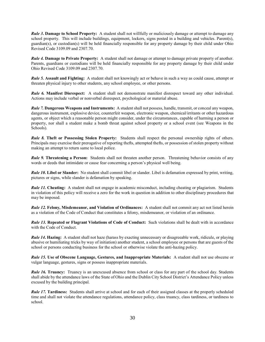*Rule 3***. Damage to School Property:** A student shall not willfully or maliciously damage or attempt to damage any school property. This will include buildings, equipment, lockers, signs posted in a building and vehicles. Parent(s), guardian(s), or custodian(s) will be held financially responsible for any property damage by their child under Ohio Revised Code 3109.09 and 2307.70.

*Rule 4.* **Damage to Private Property:** A student shall not damage or attempt to damage private property of another. Parents, guardians or custodians will be held financially responsible for any property damage by their child under Ohio Revised Code 3109.09 and 2307.70.

*Rule 5.* **Assault and Fighting:** A student shall not knowingly act or behave in such a way as could cause, attempt or threaten physical injury to other students, any school employee, or other persons.

*Rule 6.* **Manifest Disrespect:** A student shall not demonstrate manifest disrespect toward any other individual. Actions may include verbal or nonverbal disrespect, psychological or material abuse.

*Rule 7.* **Dangerous Weapons and Instruments:** A student shall not possess, handle, transmit, or conceal any weapon, dangerous instrument, explosive device, counterfeit weapon, electronic weapon, chemical/irritants or other hazardous agents, or object which a reasonable person might consider, under the circumstances, capable of harming a person or property, nor shall a student make a bomb threat against school property or a school event (see Weapons in the Schools).

*Rule 8.* **Theft or Possessing Stolen Property:** Students shall respect the personal ownership rights of others. Principals may exercise their prerogative of reporting thefts, attempted thefts, or possession of stolen property without making an attempt to return same to local police.

*Rule 9.* **Threatening a Person:** Students shall not threaten another person. Threatening behavior consists of any words or deeds that intimidate or cause fear concerning a person's physical well being.

*Rule 10***. Libel or Slander:** No student shall commit libel or slander. Libel is defamation expressed by print, writing, pictures or signs, while slander is defamation by speaking.

*Rule 11.* **Cheating:** A student shall not engage in academic misconduct, including cheating or plagiarism. Students in violation of this policy will receive a zero for the work in question in addition to other disciplinary procedures that may be imposed.

*Rule 12.* **Felony, Misdemeanor, and Violation of Ordinances:** A student shall not commit any act not listed herein as a violation of the Code of Conduct that constitutes a felony, misdemeanor, or violation of an ordinance.

*Rule 13.* **Repeated or Flagrant Violations of Code of Conduct:** Such violations shall be dealt with in accordance with the Code of Conduct.

*Rule 14***. Hazing:** A student shall not haze (harass by exacting unnecessary or disagreeable work, ridicule, or playing abusive or humiliating tricks by way of initiation) another student, a school employee or persons that are guests of the school or persons conducting business for the school or otherwise violate the anti-hazing policy.

*Rule 15.* **Use of Obscene Language, Gestures, and Inappropriate Materials:** A student shall not use obscene or vulgar language, gestures, signs or possess inappropriate materials.

*Rule 16.* **Truancy:** Truancy is an unexcused absence from school or class for any part of the school day. Students shall abide by the attendance laws of the State of Ohio and the Dublin City School District's Attendance Policy unless excused by the building principal.

*Rule 17.* **Tardiness:** Students shall arrive at school and for each of their assigned classes at the properly scheduled time and shall not violate the attendance regulations, attendance policy, class truancy, class tardiness, or tardiness to school.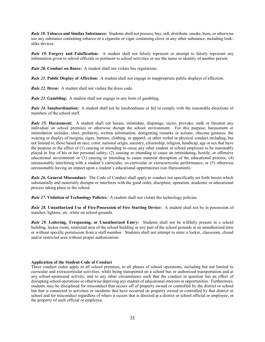*Rule 18.* **Tobacco and Similar Substances:** Students shall not possess, buy, sell, distribute, smoke, burn, or otherwise use any substance containing tobacco or a cigarette or cigar containing clove or any other substance, including lookalike devices.

*Rule 19.* **Forgery and Falsification:** A student shall not falsely represent or attempt to falsely represent any information given to school officials or pertinent to school activities or use the name or identity of another person.

*Rule 20.* **Conduct on Buses:** A student shall not violate bus regulations.

*Rule 21.* **Public Display of Affection:** A student shall not engage in inappropriate public displays of affection.

*Rule 22.* **Dress:** A student shall not violate the dress code.

*Rule 23.* **Gambling:** A student shall not engage in any form of gambling.

*Rule 24.* **Insubordination:** A student shall not be insubordinate or fail to comply with the reasonable directions of members of the school staff.

*Rule 25.* **Harassment:** A student shall not harass, intimidate, disparage, incite, provoke, stalk or threaten any individual on school premises or otherwise disrupt the school environment. For this purpose, harassment or intimidation includes: slurs; profanity; written information; denigrating remarks or actions; obscene gestures; the wearing or display of insignia, signs, buttons, clothing, or apparel; or other verbal or physical conduct including, but not limited to, those based on race, color, national origin, ancestry, citizenship, religion, handicap, age or sex that have the purpose or the effect of (1) causing or intending to cause any other student or school employee to be reasonably placed in fear of his or her personal safety; (2) causing or intending to cause an intimidating, hostile, or offensive educational environment or (3) causing or intending to cause material disruption of the educational process; (4) unreasonably interfering with a student's curricular, co-curricular or extracurricular performance; or (5) otherwise unreasonably having an impact upon a student's educational opportunities (see Harassment).

*Rule 26.* **General Misconduct:** The Code of Conduct shall apply to conduct not specifically set forth herein which substantially and materially disrupts or interferes with the good order, discipline, operation, academic or educational process taking place in the school.

*Rule 27.* **Violation of Technology Policies:** A student shall not violate the technology policies.

*Rule 28.* **Unauthorized Use of Fire/Possession of Fire Starting Device:** A student shall not be in possession of matches, lighters, etc. while on school grounds.

*Rule 29.* **Loitering, Trespassing, or Unauthorized Entry:** Students shall not be willfully present in a school building, locker room, restricted area of the school building or any part of the school grounds at an unauthorized time or without specific permission from a staff member. Students shall not attempt to enter a locker, classroom, closed and/or restricted area without proper authorization.

#### **Application of the Student Code of Conduct**

These conduct codes apply to all school premises, to all phases of school operations, including but not limited to curricular and extracurricular activities, while being transported on a school bus or authorized transportation and at any school-sponsored activity, and to any other circumstance such that the conduct in question has an effect of disrupting school operations or otherwise depriving any student of educational interests or opportunities. Furthermore, students may be disciplined for misconduct that occurs off of property owned or controlled by the district or school but that is connected to activities or incidents that have occurred on property owned or controlled by that district or school and for misconduct regardless of where it occurs that is directed at a district or school official or employee, or the property of such official or employee.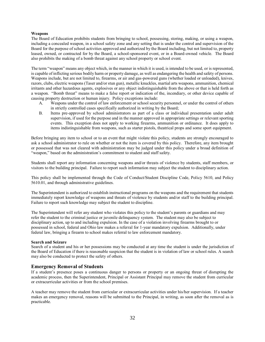#### **Weapons**

The Board of Education prohibits students from bringing to school, possessing, storing, making, or using a weapon, including a concealed weapon, in a school safety zone and any setting that is under the control and supervision of the Board for the purpose of school activities approved and authorized by the Board including, but not limited to, property leased, owned, or contracted for by the Board, a school-sponsored event, or in a Board-owned vehicle. The Board also prohibits the making of a bomb threat against any school property or school event.

The term "weapon" means any object which, in the manner in which it is used, is intended to be used, or is represented, is capable of inflicting serious bodily harm or property damage, as well as endangering the health and safety of persons. Weapons include, but are not limited to, firearms, or air and gas-powered guns (whether loaded or unloaded), knives, razors, clubs, electric weapons (Taser and/or stun gun), metallic knuckles, martial arts weapons, ammunition, chemical irritants and other hazardous agents, explosives or any object indistinguishable from the above or that is held forth as a weapon. "Bomb threat" means to make a false report or indication of the, incendiary, or other device capable of causing property destruction or human injury. Policy exceptions include:

- A. Weapons under the control of law enforcement or school security personnel, or under the control of others in strictly controlled cases specifically authorized in writing by the Board;
- B. Items pre-approved by school administrators as part of a class or individual presentation under adult supervision, if used for the purpose and in the manner approved in appropriate settings or relevant sporting events. This exception does not apply to working firearms, ammunition or ordinance. It does apply to items indistinguishable from weapons, such as starter pistols, theatrical props and some sport equipment.

Before bringing any item to school or to an event that might violate this policy, students are strongly encouraged to ask a school administrator to rule on whether or not the item is covered by this policy. Therefore, any item brought or possessed that was not cleared with administration may be judged under this policy under a broad definition of "weapon," based on the administration's commitment to student and staff safety.

Students shall report any information concerning weapons and/or threats of violence by students, staff members, or visitors to the building principal. Failure to report such information may subject the student to disciplinary action.

This policy shall be implemented through the Code of Conduct/Student Discipline Code, Policy 5610, and Policy 5610.01, and through administrative guidelines.

The Superintendent is authorized to establish instructional programs on the weapons and the requirement that students immediately report knowledge of weapons and threats of violence by students and/or staff to the building principal. Failure to report such knowledge may subject the student to discipline.

The Superintendent will refer any student who violates this policy to the student's parents or guardians and may refer the student to the criminal justice or juvenile delinquency system. The student may also be subject to disciplinary action, up to and including expulsion. In the case of a violation involving firearms brought to or possessed in school, federal and Ohio law makes a referral for 1-year mandatory expulsion. Additionally, under federal law, bringing a firearm to school makes referral to law enforcement mandatory.

#### **Search and Seizure**

Search of a student and his or her possessions may be conducted at any time the student is under the jurisdiction of the Board of Education if there is reasonable suspicion that the student is in violation of law or school rules. A search may also be conducted to protect the safety of others.

#### **Emergency Removal of Students**

If a student's presence poses a continuous danger to persons or property or an ongoing threat of disrupting the academic process, then the Superintendent, Principal or Assistant Principal may remove the student from curricular or extracurricular activities or from the school premises.

A teacher may remove the student from curricular or extracurricular activities under his/her supervision. If a teacher makes an emergency removal, reasons will be submitted to the Principal, in writing, as soon after the removal as is practicable.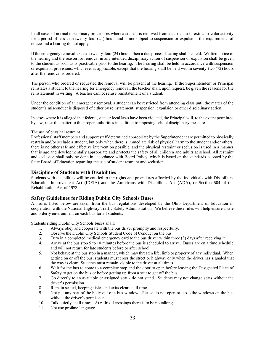In all cases of normal disciplinary procedures where a student is removed from a curricular or extracurricular activity for a period of less than twenty-four (24) hours and is not subject to suspension or expulsion, the requirements of notice and a hearing do not apply.

If the emergency removal exceeds twenty-four (24) hours, then a due process hearing shall be held. Written notice of the hearing and the reason for removal in any intended disciplinary action of suspension or expulsion shall be given to the student as soon as is practicable prior to the hearing. The hearing shall be held in accordance with suspension or expulsion provisions, whichever is applicable, except that the hearing shall be held within seventy-two (72) hours after the removal is ordered.

The person who ordered or requested the removal will be present at the hearing. If the Superintendent or Principal reinstates a student to the hearing for emergency removal, the teacher shall, upon request, be given the reasons for the reinstatement in writing. A teacher cannot refuse reinstatement of a student.

Under the condition of an emergency removal, a student can be restricted from attending class until the matter of the student's misconduct is disposed of either by reinstatement, suspension, expulsion or other disciplinary action.

In cases where it is alleged that federal, state or local laws have been violated, the Principal will, to the extent permitted by law, refer the matter to the proper authorities in addition to imposing school disciplinary measures.

#### The use of physical restraint

Professional staff members and support staff determined appropriate by the Superintendent are permitted to physically restrain and/or seclude a student, but only when there is immediate risk of physical harm to the student and/or others, there is no other safe and effective intervention possible, and the physical restraint or seclusion is used in a manner that is age and developmentally appropriate and protects the safety of all children and adults at school. All restraint and seclusion shall only be done in accordance with Board Policy, which is based on the standards adopted by the State Board of Education regarding the use of student restraint and seclusion.

#### **Discipline of Students with Disabilities**

Students with disabilities will be entitled to the rights and procedures afforded by the Individuals with Disabilities Education Improvement Act (IDEIA) and the Americans with Disabilities Act (ADA), or Section 504 of the Rehabilitation Act of 1973.

#### **Safety Guidelines for Riding Dublin City Schools Buses**

All rules listed below are taken from the bus regulations developed by the Ohio Department of Education in cooperation with the National Highway Traffic Safety Administration. We believe these rules will help ensure a safe and orderly environment on each bus for all students.

Students riding Dublin City Schools buses shall:

- 1. Always obey and cooperate with the bus driver promptly and respectfully.
- 2. Observe the Dublin City Schools Student Code of Conduct on the bus.
- 3. Turn in a completed medical emergency card to the bus driver within three (3) days after receiving it.
- 4. Arrive at the bus stop 5 to 10 minutes before the bus is scheduled to arrive. Buses are on a time schedule and will not return for late students before or after school.
- 5. Not behave at the bus stop in a manner, which may threaten life, limb or property of any individual. When getting on or off the bus, students must cross the street or highway only when the driver has signaled that the way is clear. Students must remain visible to the driver at all times.
- 6. Wait for the bus to come to a complete stop and the door to open before leaving the Designated Place of Safety to get on the bus or before getting up from a seat to get off the bus.
- 7. Go directly to an available or assigned seat do not stand. Students may not change seats without the driver's permission.
- 8. Remain seated, keeping aisles and exits clear at all times.
- 9. Not put any part of the body out of a bus window. Please do not open or close the windows on the bus without the driver's permission.
- 10. Talk quietly at all times. At railroad crossings there is to be no talking.
- 11. Not use profane language.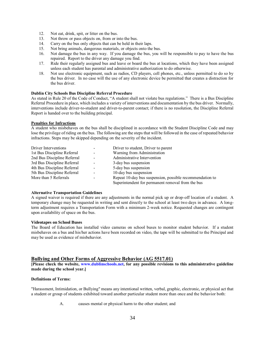- 12. Not eat, drink, spit, or litter on the bus.
- 13. Not throw or pass objects on, from or into the bus.
- 14. Carry on the bus only objects that can be held in their laps.
- 15. Not bring animals, dangerous materials, or objects onto the bus.
- 16. Not damage the bus in any way. If you damage the bus, you will be responsible to pay to have the bus repaired. Report to the driver any damage you find.
- 17. Ride their regularly assigned bus and leave or board the bus at locations, which they have been assigned unless each student has parental and administrative authorization to do otherwise.
- 18. Not use electronic equipment, such as radios, CD players, cell phones, etc., unless permitted to do so by the bus driver. In no case will the use of any electronic device be permitted that creates a distraction for the bus driver.

#### **Dublin City Schools Bus Discipline Referral Procedure**

As stated in Rule 20 of the Code of Conduct, "A student shall not violate bus regulations." There is a Bus Discipline Referral Procedure in place, which includes a variety of interventions and documentation by the bus driver. Normally, interventions include driver-to-student and driver-to-parent contact; if there is no resolution, the Discipline Referral Report is handed over to the building principal.

#### **Penalties for Infractions**

A student who misbehaves on the bus shall be disciplined in accordance with the Student Discipline Code and may lose the privilege of riding on the bus. The following are the steps that will be followed in the case of repeated behavior infractions. Steps may be skipped depending on the severity of the incident.

| Driver Interventions        | Driver to student, Driver to parent                      |
|-----------------------------|----------------------------------------------------------|
| 1st Bus Discipline Referral | Warning from Administration                              |
| 2nd Bus Discipline Referral | Administrative Intervention                              |
| 3rd Bus Discipline Referral | 3-day bus suspension                                     |
| 4th Bus Discipline Referral | 5-day bus suspension                                     |
| 5th Bus Discipline Referral | 10-day bus suspension                                    |
| More than 5 Referrals       | Repeat 10-day bus suspension, possible recommendation to |
|                             | Superintendent for permanent removal from the bus        |

#### **Alternative Transportation Guidelines**

A signed waiver is required if there are any adjustments in the normal pick up or drop-off location of a student. A temporary change may be requested in writing and sent directly to the school at least two days in advance. A longterm adjustment requires a Transportation Form with a minimum 2-week notice. Requested changes are contingent upon availability of space on the bus.

#### **Videotapes on School Buses**

The Board of Education has installed video cameras on school buses to monitor student behavior. If a student misbehaves on a bus and his/her actions have been recorded on video, the tape will be submitted to the Principal and may be used as evidence of misbehavior.

#### **Bullying and Other Forms of Aggressive Behavior (AG 5517.01)**

**[Please check the website, [www.dublinschools.net,](http://www.dublinschools.net/) for any possible revisions to this administrative guideline made during the school year.]**

#### **Definitions of Terms:**

"Harassment, Intimidation, or Bullying" means any intentional written, verbal, graphic, electronic, or physical act that a student or group of students exhibited toward another particular student more than once and the behavior both:

A. causes mental or physical harm to the other student; and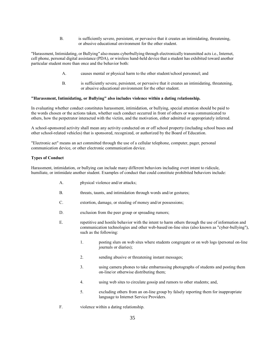B. is sufficiently severe, persistent, or pervasive that it creates an intimidating, threatening, or abusive educational environment for the other student.

"Harassment, Intimidating, or Bullying" also means cyberbullying through electronically transmitted acts i.e., Internet, cell phone, personal digital assistance (PDA), or wireless hand-held device that a student has exhibited toward another particular student more than once and the behavior both:

- A. causes mental or physical harm to the other student/school personnel; and
- B. is sufficiently severe, persistent, or pervasive that it creates an intimidating, threatening, or abusive educational environment for the other student.

#### **"Harassment, Intimidating, or Bullying" also includes violence within a dating relationship.**

In evaluating whether conduct constitutes harassment, intimidation, or bullying, special attention should be paid to the words chosen or the actions taken, whether such conduct occurred in front of others or was communicated to others, how the perpetrator interacted with the victim, and the motivation, either admitted or appropriately inferred.

A school-sponsored activity shall mean any activity conducted on or off school property (including school buses and other school-related vehicles) that is sponsored, recognized, or authorized by the Board of Education.

"Electronic act" means an act committed through the use of a cellular telephone, computer, pager, personal communication device, or other electronic communication device.

#### **Types of Conduct**

Harassment, intimidation, or bullying can include many different behaviors including overt intent to ridicule, humiliate, or intimidate another student. Examples of conduct that could constitute prohibited behaviors include:

- A. physical violence and/or attacks;
- B. threats, taunts, and intimidation through words and/or gestures;
- C. extortion, damage, or stealing of money and/or possessions;
- D. exclusion from the peer group or spreading rumors;
- E. repetitive and hostile behavior with the intent to harm others through the use of information and communication technologies and other web-based/on-line sites (also known as "cyber-bullying"), such as the following:
	- 1. posting slurs on web sites where students congregate or on web logs (personal on-line journals or diaries);
	- 2. sending abusive or threatening instant messages;
	- 3. using camera phones to take embarrassing photographs of students and posting them on-line/or otherwise distributing them;
	- 4. using web sites to circulate gossip and rumors to other students; and,
	- 5. excluding others from an on-line group by falsely reporting them for inappropriate language to Internet Service Providers.
- F. violence within a dating relationship.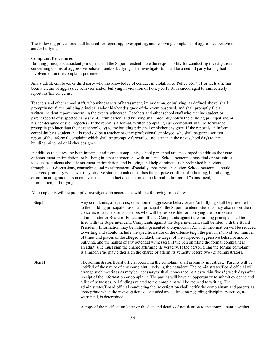The following procedures shall be used for reporting, investigating, and resolving complaints of aggressive behavior and/or bullying.

#### **Complaint Procedures**

Building principals, assistant principals, and the Superintendent have the responsibility for conducting investigations concerning claims of aggressive behavior and/or bullying. The investigator(s) shall be a neutral party having had no involvement in the complaint presented.

Any student, employee or third party who has knowledge of conduct in violation of Policy 5517.01 or feels s/he has been a victim of aggressive behavior and/or bullying in violation of Policy 5517.01 is encouraged to immediately report his/her concerns.

Teachers and other school staff, who witness acts of harassment, intimidation, or bullying, as defined above, shall promptly notify the building principal and/or his/her designee of the event observed, and shall promptly file a written incident report concerning the events witnessed. Teachers and other school staff who receive student or parent reports of suspected harassment, intimidation, and bullying shall promptly notify the building principal and/or his/her designee of such report(s). If the report is a formal, written complaint, such complaint shall be forwarded promptly (no later than the next school day) to the building principal or his/her designee. If the report is an informal complaint by a student that is received by a teacher or other professional employee, s/he shall prepare a written report of the informal complaint which shall be promptly forwarded (no later than the next school day) to the building principal or his/her designee.

In addition to addressing both informal and formal complaints, school personnel are encouraged to address the issue of harassment, intimidation, or bullying in other interactions with students. School personnel may find opportunities to educate students about harassment, intimidation, and bullying and help eliminate such prohibited behaviors through class discussions, counseling, and reinforcement of socially appropriate behavior. School personnel should intervene promptly whenever they observe student conduct that has the purpose or effect of ridiculing, humiliating, or intimidating another student even if such conduct does not meet the formal definition of "harassment, intimidation, or bullying."

All complaints will be promptly investigated in accordance with the following procedures:

| Step I  | Any complaints, allegations, or rumors of aggressive behavior and/or bullying shall be presented<br>to the building principal or assistant principal or the Superintendent. Students may also report their<br>concerns to teachers or counselors who will be responsible for notifying the appropriate<br>administrator or Board of Education official. Complaints against the building principal shall be<br>filed with the Superintendent. Complaints against the Superintendent shall be filed with the Board<br>President. Information may be initially presented anonymously. All such information will be reduced<br>to writing and should include the specific nature of the offense $(e.g., the person(s) involved, number$<br>of times and places of the alleged conduct, the target of the suspected aggressive behavior and/or<br>bullying, and the names of any potential witnesses). If the person filing the formal complaint is<br>an adult, s/he must sign the charge affirming its veracity. If the person filing the formal complaint<br>is a minor, s/he may either sign the charge or affirm its veracity before two (2) administrators. |
|---------|--------------------------------------------------------------------------------------------------------------------------------------------------------------------------------------------------------------------------------------------------------------------------------------------------------------------------------------------------------------------------------------------------------------------------------------------------------------------------------------------------------------------------------------------------------------------------------------------------------------------------------------------------------------------------------------------------------------------------------------------------------------------------------------------------------------------------------------------------------------------------------------------------------------------------------------------------------------------------------------------------------------------------------------------------------------------------------------------------------------------------------------------------------------|
| Step II | The administrator/Board official receiving the complaint shall promptly investigate. Parents will be<br>notified of the nature of any complaint involving their student. The administrator/Board official will<br>arrange such meetings as may be necessary with all concerned parties within five (5) work days after<br>receipt of the information or complaint. The parties will have an opportunity to submit evidence and<br>a list of witnesses. All findings related to the complaint will be reduced to writing. The<br>administrator/Board official conducting the investigation shall notify the complainant and parents as<br>appropriate when the investigation is concluded and a decision regarding disciplinary action, as<br>warranted, is determined.                                                                                                                                                                                                                                                                                                                                                                                       |

A copy of the notification letter or the date and details of notification to the complainant, together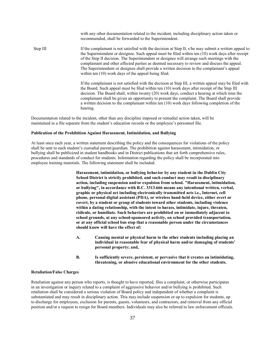with any other documentation related to the incident, including disciplinary action taken or recommended, shall be forwarded to the Superintendent. Step III If the complainant is not satisfied with the decision at Step II, s/he may submit a written appeal to the Superintendent or designee. Such appeal must be filed within ten (10) work days after receipt of the Step II decision. The Superintendent or designee will arrange such meetings with the complainant and other affected parties as deemed necessary to review and discuss the appeal. The Superintendent or designee shall provide a written decision to the complainant's appeal within ten (10) work days of the appeal being filed. If the complainant is not satisfied with the decision at Step III, a written appeal may be filed with the Board. Such appeal must be filed within ten (10) work days after receipt of the Step III decision. The Board shall, within twenty (20) work days, conduct a hearing at which time the

complainant shall be given an opportunity to present the complaint. The Board shall provide a written decision to the complainant within ten (10) work days following completion of the hearing.

Documentation related to the incident, other than any discipline imposed or remedial action taken, will be maintained in a file separate from the student's education records or the employee's personnel file.

#### **Publication of the Prohibition Against Harassment, Intimidation, and Bullying**

At least once each year, a written statement describing the policy and the consequences for violations of the policy shall be sent to each student's custodial parent/guardian. The prohibition against harassment, intimidation, or bullying shall be publicized in student handbooks and in District publications that set forth comprehensive rules, procedures and standards of conduct for students. Information regarding the policy shall be incorporated into employee training materials. The following statement shall be included:

> **Harassment, intimidation, or bullying behavior by any student in the Dublin City School District is strictly prohibited, and such conduct may result in disciplinary action, including suspension and/or expulsion from school. "Harassment, intimidation, or bullying", in accordance with R.C. 3313.666 means any intentional written, verbal, graphic or physical act including electronically transmitted acts i.e., Internet, cell phone, personal digital assistant (PDA), or wireless hand-held device, either overt or covert, by a student or group of students toward other students, including violence within a dating relationship, with the intent to harass, intimidate, injure, threaten, ridicule, or humiliate. Such behaviors are prohibited on or immediately adjacent to school grounds, at any school-sponsored activity, on school provided transportation, or at any official school bus stop that a reasonable person under the circumstances should know will have the effect of:**

- **A. Causing mental or physical harm to the other students including placing an individual in reasonable fear of physical harm and/or damaging of students' personal property; and,**
- **B. Is sufficiently severe, persistent, or pervasive that it creates an intimidating, threatening, or abusive educational environment for the other students.**

#### **Retaliation/False Charges**

Retaliation against any person who reports, is thought to have reported, files a complaint, or otherwise participates in an investigation or inquiry related to a complaint of aggressive behavior and/or bullying is prohibited. Such retaliation shall be considered a serious violation of Board policy and independent of whether a complaint is substantiated and may result in disciplinary action. This may include suspension or up to expulsion for students, up to discharge for employees, exclusion for parents, guests, volunteers, and contractors, and removal from any official position and/or a request to resign for Board members. Individuals may also be referred to law enforcement officials.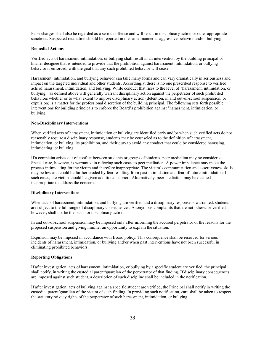False charges shall also be regarded as a serious offense and will result in disciplinary action or other appropriate sanctions. Suspected retaliation should be reported in the same manner as aggressive behavior and/or bullying.

#### **Remedial Actions**

Verified acts of harassment, intimidation, or bullying shall result in an intervention by the building principal or his/her designee that is intended to provide that the prohibition against harassment, intimidation, or bullying behavior is enforced, with the goal that any such prohibited behavior will cease.

Harassment, intimidation, and bullying behavior can take many forms and can vary dramatically in seriousness and impact on the targeted individual and other students. Accordingly, there is no one prescribed response to verified acts of harassment, intimidation, and bullying. While conduct that rises to the level of "harassment, intimidation, or bullying," as defined above will generally warrant disciplinary action against the perpetrator of such prohibited behaviors whether or to what extent to impose disciplinary action (detention, in and out-of-school suspension, or expulsion) is a matter for the professional discretion of the building principal. The following sets forth possible interventions for building principals to enforce the Board's prohibition against "harassment, intimidation, or bullying."

#### **Non-Disciplinary Interventions**

When verified acts of harassment, intimidation or bullying are identified early and/or when such verified acts do not reasonably require a disciplinary response, students may be counseled as to the definition of harassment, intimidation, or bullying, its prohibition, and their duty to avoid any conduct that could be considered harassing, intimidating, or bullying.

If a complaint arises out of conflict between students or groups of students, peer mediation may be considered. Special care, however, is warranted in referring such cases to peer mediation. A power imbalance may make the process intimidating for the victim and therefore inappropriate. The victim's communication and assertiveness skills may be low and could be further eroded by fear resulting from past intimidation and fear of future intimidation. In such cases, the victim should be given additional support. Alternatively, peer mediation may be deemed inappropriate to address the concern.

#### **Disciplinary Interventions**

When acts of harassment, intimidation, and bullying are verified and a disciplinary response is warranted, students are subject to the full range of disciplinary consequences. Anonymous complaints that are not otherwise verified, however, shall not be the basis for disciplinary action.

In and out-of-school suspension may be imposed only after informing the accused perpetrator of the reasons for the proposed suspension and giving him/her an opportunity to explain the situation.

Expulsion may be imposed in accordance with Board policy. This consequence shall be reserved for serious incidents of harassment, intimidation, or bullying and/or when past interventions have not been successful in eliminating prohibited behaviors.

#### **Reporting Obligations**

If after investigation, acts of harassment, intimidation, or bullying by a specific student are verified, the principal shall notify, in writing the custodial parent/guardian of the perpetrator of that finding. If disciplinary consequences are imposed against such student, a description of such discipline shall be included in the notification.

If after investigation, acts of bullying against a specific student are verified, the Principal shall notify in writing the custodial parent/guardian of the victim of such finding. In providing such notification, care shall be taken to respect the statutory privacy rights of the perpetrator of such harassment, intimidation, or bullying.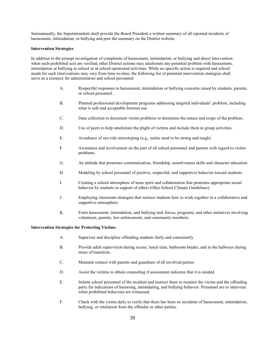Semiannually, the Superintendent shall provide the Board President a written summary of all reported incidents of harassment, intimidation, or bullying and post the summary on the District website.

#### **Intervention Strategies**

In addition to the prompt investigation of complaints of harassment, intimidation, or bullying and direct intervention when such prohibited acts are verified, other District actions may ameliorate any potential problem with harassment, intimidation or bullying in school or at school-sponsored activities. While no specific action is required and school needs for such interventions may vary from time-to-time, the following list of potential intervention strategies shall serve as a resource for administrators and school personnel:

- A. Respectful responses to harassment, intimidation or bullying concerns raised by students, parents, or school personnel.
- B. Planned professional development programs addressing targeted individuals' problem, including what is safe and acceptable Internet use.
- C. Data collection to document victim problems to determine the nature and scope of the problem.
- D. Use of peers to help ameliorate the plight of victims and include them in group activities.
- E. Avoidance of sex-role stereotyping (e.g., males need to be strong and tough).
- F. Awareness and involvement on the part of all school personnel and parents with regard to victim problems.
- G. An attitude that promotes communication, friendship, assertiveness skills and character education.
- H. Modeling by school personnel of positive, respectful, and supportive behavior toward students.
- I. Creating a school atmosphere of team spirit and collaboration that promotes appropriate social behavior by students in support of others (Ohio School Climate Guidelines).
- J. Employing classroom strategies that instruct students how to work together in a collaborative and supportive atmosphere.
- K. Form harassment, intimidation, and bullying task forces, programs, and other initiatives involving volunteers, parents, law enforcement, and community members.

#### **Intervention Strategies for Protecting Victims**

- A. Supervise and discipline offending students fairly and consistently.
- B. Provide adult supervision during recess, lunch time, bathroom breaks, and in the hallways during times of transition.
- C. Maintain contact with parents and guardians of all involved parties.
- D. Assist the victims to obtain counseling if assessment indicates that it is needed.
- E. Inform school personnel of the incident and instruct them to monitor the victim and the offending party for indications of harassing, intimidating, and bullying behavior. Personnel are to intervene when prohibited behaviors are witnessed.
- F. Check with the victim daily to verify that there has been no incidents of harassment, intimidation, bullying, or retaliation from the offender or other parties.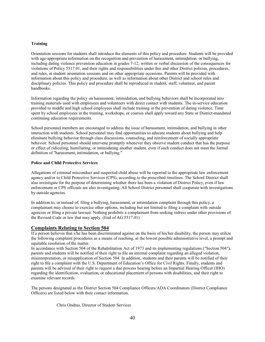#### **Training**

Orientation sessions for students shall introduce the elements of this policy and procedure. Students will be provided with age-appropriate information on the recognition and prevention of harassment, intimidation, or bullying, including dating violence prevention education in grades 7-12, written or verbal discussion of the consequences for violations of Policy 5517.01, and their rights and responsibilities under this and other District policies, procedures, and rules, at student orientation sessions and on other appropriate occasions. Parents will be provided with information about this policy and procedure, as well as information about other District and school rules and disciplinary policies. This policy and procedure shall be reproduced in student, staff, volunteer, and parent handbooks.

Information regarding the policy on harassment, intimidation, and bullying behaviors shall be incorporated into training materials used with employees and volunteers with direct contact with students. The in-service education provided to middle and high school employees shall include training in the prevention of dating violence. Time spent by school employees in the training, workshops, or courses shall apply toward any State or District-mandated continuing education requirements.

School personnel members are encouraged to address the issue of harassment, intimidation, and bullying in other interaction with students. School personnel may find opportunities to educate students about bullying and help eliminate bullying behavior through class discussions, counseling, and reinforcement of socially appropriate behavior. School personnel should intervene promptly whenever they observe student conduct that has the purpose or effect of ridiculing, humiliating, or intimidating another student, even if such conduct does not meet the formal definition of "harassment, intimidation, or bullying."

#### **Police and Child Protective Services**

Allegations of criminal misconduct and suspected child abuse will be reported to the appropriate law enforcement agency and/or to Child Protective Services (CPS), according to the prescribed timelines. The School District shall also investigate for the purpose of determining whether there has been a violation of District Policy, even if law enforcement or CPS officials are also investigating. All School District personnel shall cooperate with investigations by outside agencies.

In addition to, or instead of, filing a bullying, harassment, or intimidation complaint through this policy, a complainant may choose to exercise other options, including but not limited to filing a complaint with outside agencies or filing a private lawsuit. Nothing prohibits a complainant from seeking redress under other provisions of the Revised Code or law that may apply. (End of AG 5517.01)

#### **Complaints Relating to Section 504**

If a person believes that s/he has been discriminated against on the basis of his/her disability, the person may utilize the following complaint procedures as a means of reaching, at the lowest possible administrative level, a prompt and equitable resolution of the matter.

In accordance with Section 504 of the Rehabilitation Act of 1973 and its implementing regulations ("Section 504"), parents and students will be notified of their right to file an internal complaint regarding an alleged violation, misinterpretation, or misapplication of Section 504. In addition, students and their parents will be notified of their right to file a complaint with the U.S. Department of Education's Office for Civil Rights. Finally, students and parents will be advised of their right to request a due process hearing before an Impartial Hearing Officer (IHO) regarding the identification, evaluation, or educational placement of persons with disabilities, and their right to examine relevant records.

The persons designated as the District Section 504 Compliance Officers/ADA Coordinators (District Compliance Officers) are listed below with their contact information.

Chris Ondrus, Director of Student Services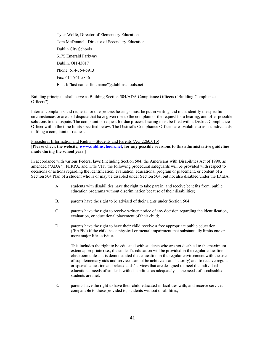Tyler Wolfe, Director of Elementary Education Tom McDonnell, Director of Secondary Education Dublin City Schools 5175 Emerald Parkway Dublin, OH 43017 Phone: 614-764-5913 Fax: 614-761-5856 Email: "last name\_first name"@dublinschools.net

Building principals shall serve as Building Section 504/ADA Compliance Officers ("Building Compliance Officers").

Internal complaints and requests for due process hearings must be put in writing and must identify the specific circumstances or areas of dispute that have given rise to the complain or the request for a hearing, and offer possible solutions to the dispute. The complaint or request for due process hearing must be filed with a District Compliance Officer within the time limits specified below. The District's Compliance Officers are available to assist individuals in filing a complaint or request.

#### Procedural Information and Rights – Students and Parents (AG 2260.01b)

**[Please check the website, [www.dublinschools.net,](http://www.dublinschools.net/) for any possible revisions to this administrative guideline made during the school year.]**

In accordance with various Federal laws (including Section 504, the Americans with Disabilities Act of 1990, as amended ("ADA"), FERPA, and Title VII), the following procedural safeguards will be provided with respect to decisions or actions regarding the identification, evaluation, educational program or placement, or content of a Section 504 Plan of a student who is or may be disabled under Section 504, but not also disabled under the IDEIA:

- A. students with disabilities have the right to take part in, and receive benefits from, public education programs without discrimination because of their disabilities;
- B. parents have the right to be advised of their rights under Section 504;
- C. parents have the right to receive written notice of any decision regarding the identification, evaluation, or educational placement of their child;
- D. parents have the right to have their child receive a free appropriate public education ("FAPE") if the child has a physical or mental impairment that substantially limits one or more major life activities;

This includes the right to be educated with students who are not disabled to the maximum extent appropriate (i.e., the student's education will be provided in the regular education classroom unless it is demonstrated that education in the regular environment with the use of supplementary aids and services cannot be achieved satisfactorily) and to receive regular or special education and related aids/services that are designed to meet the individual educational needs of students with disabilities as adequately as the needs of nondisabled students are met.

E. parents have the right to have their child educated in facilities with, and receive services comparable to those provided to, students without disabilities;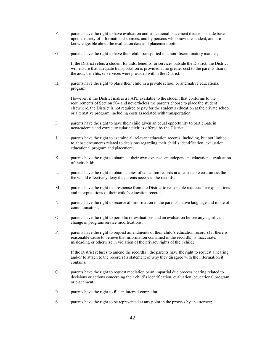- F. parents have the right to have evaluation and educational placement decisions made based upon a variety of informational sources, and by persons who know the student, and are knowledgeable about the evaluation data and placement options;
- G. parents have the right to have their child transported in a non-discriminatory manner;

If the District refers a student for aids, benefits, or services outside the District, the District will ensure that adequate transportation is provided at no greater cost to the parents than if the aids, benefits, or services were provided within the District.

H. parents have the right to place their child in a private school or alternative educational program;

However, if the District makes a FAPE available to the student that conforms to the requirements of Section 504 and nevertheless the parents choose to place the student elsewhere, the District is not required to pay for the student's education at the private school or alternative program, including costs associated with transportation.

- I. parents have the right to have their child given an equal opportunity to participate in nonacademic and extracurricular activities offered by the District;
- J. parents have the right to examine all relevant education records, including, but not limited to, those documents related to decisions regarding their child's identification, evaluation, educational program and placement;
- K. parents have the right to obtain, at their own expense, an independent educational evaluation of their child;
- L. parents have the right to obtain copies of education records at a reasonable cost unless the fee would effectively deny the parents access to the records;
- M. parents have the right to a response from the District to reasonable requests for explanations and interpretations of their child's education records;
- N. parents have the right to receive all information in the parents' native language and mode of communication;
- O. parents have the right to periodic re-evaluations and an evaluation before any significant change in program/service modifications;
- P. parents have the right to request amendments of their child's education record(s) if there is reasonable cause to believe that information contained in the record(s) is inaccurate, misleading or otherwise in violation of the privacy rights of their child;

If the District refuses to amend the record $(s)$ , the parents have the right to request a hearing and/or to attach to the record(s) a statement of why they disagree with the information it contains.

- Q. parents have the right to request mediation or an impartial due process hearing related to decisions or actions concerning their child's identification, evaluation, educational program or placement;
- R. parents have the right to file an internal complaint;
- S. parents have the right to be represented at any point in the process by an attorney;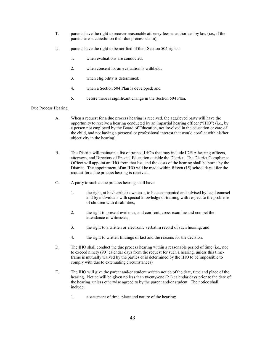- T. parents have the right to recover reasonable attorney fees as authorized by law (i.e., if the parents are successful on their due process claim);
- U. parents have the right to be notified of their Section 504 rights:
	- 1. when evaluations are conducted;
	- 2. when consent for an evaluation is withheld;
	- 3. when eligibility is determined;
	- 4. when a Section 504 Plan is developed; and
	- 5. before there is significant change in the Section 504 Plan.

#### Due Process Hearing

- A. When a request for a due process hearing is received, the aggrieved party will have the opportunity to receive a hearing conducted by an impartial hearing officer ("IHO") (i.e., by a person not employed by the Board of Education, not involved in the education or care of the child, and not having a personal or professional interest that would conflict with his/her objectivity in the hearing).
- B. The District will maintain a list of trained IHO's that may include IDEIA hearing officers, attorneys, and Directors of Special Education outside the District. The District Compliance Officer will appoint an IHO from that list, and the costs of the hearing shall be borne by the District. The appointment of an IHO will be made within fifteen (15) school days after the request for a due process hearing is received.
- C. A party to such a due process hearing shall have:
	- 1. the right, at his/her/their own cost, to be accompanied and advised by legal counsel and by individuals with special knowledge or training with respect to the problems of children with disabilities;
	- 2. the right to present evidence, and confront, cross-examine and compel the attendance of witnesses;
	- 3. the right to a written or electronic verbatim record of such hearing; and
	- 4. the right to written findings of fact and the reasons for the decision.
- D. The IHO shall conduct the due process hearing within a reasonable period of time (i.e., not to exceed ninety (90) calendar days from the request for such a hearing, unless this timeframe is mutually waived by the parties or is determined by the IHO to be impossible to comply with due to extenuating circumstances).
- E. The IHO will give the parent and/or student written notice of the date, time and place of the hearing. Notice will be given no less than twenty-one (21) calendar days prior to the date of the hearing, unless otherwise agreed to by the parent and/or student. The notice shall include:
	- 1. a statement of time, place and nature of the hearing;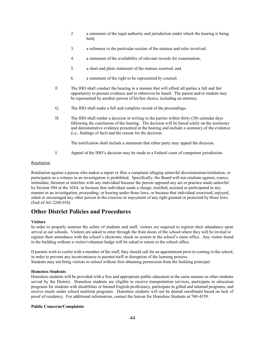- 2. a statement of the legal authority and jurisdiction under which the hearing is being held;
- 3. a reference to the particular section of the statutes and rules involved;
- 4. a statement of the availability of relevant records for examination;
- 5. a short and plain statement of the matters asserted; and
- 6. a statement of the right to be represented by counsel.
- F. The IHO shall conduct the hearing in a manner that will afford all parties a full and fair opportunity to present evidence and to otherwise be heard. The parent and/or student may be represented by another person of his/her choice, including an attorney.
- G. The IHO shall make a full and complete record of the proceedings.
- H. The IHO shall render a decision in writing to the parties within thirty (30) calendar days following the conclusion of the hearing. The decision will be based solely on the testimony and demonstrative evidence presented at the hearing and include a summary of the evidence (i.e., findings of fact) and the reason for the decision.

The notification shall include a statement that either party may appeal the decision.

I. Appeal of the IHO's decision may be made to a Federal court of competent jurisdiction.

#### Retaliation

Retaliation against a person who makes a report or files a complaint alleging unlawful discrimination/retaliation, or participates as a witness in an investigation is prohibited. Specifically, the Board will not retaliate against, coerce, intimidate, threaten or interfere with any individual because the person opposed any act or practice made unlawful by Section 504 or the ADA, or because that individual made a charge, testified, assisted or participated in any manner in an investigation, proceeding, or hearing under those laws, or because that individual exercised, enjoyed, aided or encouraged any other person in the exercise or enjoyment of any right granted or protected by those laws. (End of AG 2260.01b)

## **Other District Policies and Procedures**

#### **Visitors**

In order to properly monitor the safety of students and staff, visitors are required to register their attendance upon arrival at our schools. Visitors are asked to enter through the front doors of the school where they will be invited to register their attendance with the school's electronic check-in system in the school's main office. Any visitor found in the building without a visitor/volunteer badge will be asked to return to the school office.

If parents wish to confer with a member of the staff, they should call for an appointment prior to coming to the school, in order to prevent any inconvenience to parents/staff or disruption of the learning process. Students may not bring visitors to school without first obtaining permission from the building principal.

#### **Homeless Students**

Homeless students will be provided with a free and appropriate public education in the same manner as other students served by the District. Homeless students are eligible to receive transportation services, participate in education programs for students with disabilities or limited English proficiency, participate in gifted and talented programs, and receive meals under school nutrition programs. Homeless students will not be denied enrollment based on lack of proof of residency. For additional information, contact the liaison for Homeless Students at 760-4359.

#### **Public Concerns/Complaints**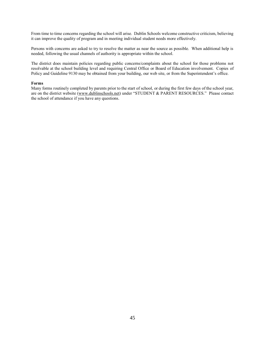From time to time concerns regarding the school will arise. Dublin Schools welcome constructive criticism, believing it can improve the quality of program and in meeting individual student needs more effectively.

Persons with concerns are asked to try to resolve the matter as near the source as possible. When additional help is needed, following the usual channels of authority is appropriate within the school.

The district does maintain policies regarding public concerns/complaints about the school for those problems not resolvable at the school building level and requiring Central Office or Board of Education involvement. Copies of Policy and Guideline 9130 may be obtained from your building, our web site, or from the Superintendent's office.

#### **Forms**

Many forms routinely completed by parents prior to the start of school, or during the first few days of the school year, are on the district website [\(www.dublinschools.net\)](http://www.dublinschools.net/) under "STUDENT & PARENT RESOURCES." Please contact the school of attendance if you have any questions.